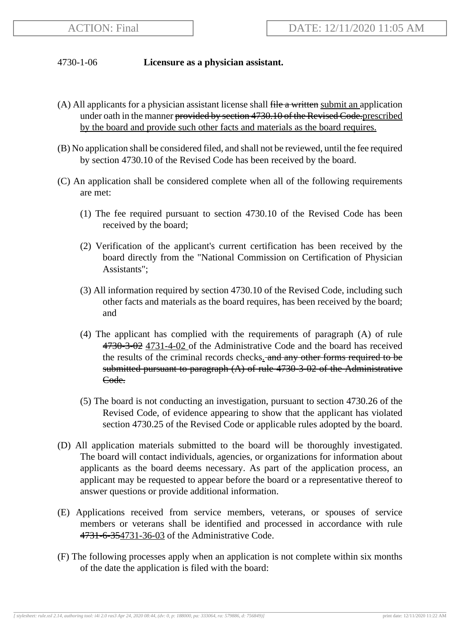## 4730-1-06 **Licensure as a physician assistant.**

- (A) All applicants for a physician assistant license shall  $f$  and  $f$  and  $f$  and  $f$  application under oath in the manner provided by section 4730.10 of the Revised Code.prescribed by the board and provide such other facts and materials as the board requires.
- (B) No application shall be considered filed, and shall not be reviewed, until the fee required by section 4730.10 of the Revised Code has been received by the board.
- (C) An application shall be considered complete when all of the following requirements are met:
	- (1) The fee required pursuant to section 4730.10 of the Revised Code has been received by the board;
	- (2) Verification of the applicant's current certification has been received by the board directly from the "National Commission on Certification of Physician Assistants";
	- (3) All information required by section 4730.10 of the Revised Code, including such other facts and materials as the board requires, has been received by the board; and
	- (4) The applicant has complied with the requirements of paragraph (A) of rule 4730-3-02 4731-4-02 of the Administrative Code and the board has received the results of the criminal records checks. and any other forms required to be submitted pursuant to paragraph (A) of rule 4730-3-02 of the Administrative Code.
	- (5) The board is not conducting an investigation, pursuant to section 4730.26 of the Revised Code, of evidence appearing to show that the applicant has violated section 4730.25 of the Revised Code or applicable rules adopted by the board.
- (D) All application materials submitted to the board will be thoroughly investigated. The board will contact individuals, agencies, or organizations for information about applicants as the board deems necessary. As part of the application process, an applicant may be requested to appear before the board or a representative thereof to answer questions or provide additional information.
- (E) Applications received from service members, veterans, or spouses of service members or veterans shall be identified and processed in accordance with rule 4731-6-354731-36-03 of the Administrative Code.
- (F) The following processes apply when an application is not complete within six months of the date the application is filed with the board: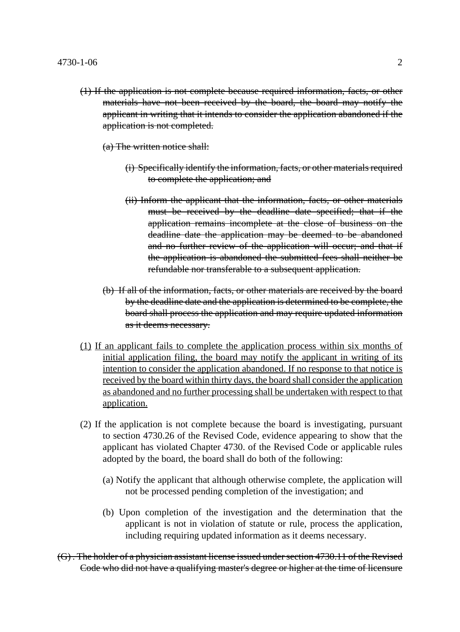(1) If the application is not complete because required information, facts, or other materials have not been received by the board, the board may notify the applicant in writing that it intends to consider the application abandoned if the application is not completed.

(a) The written notice shall:

- (i) Specifically identify the information, facts, or other materials required to complete the application; and
- (ii) Inform the applicant that the information, facts, or other materials must be received by the deadline date specified; that if the application remains incomplete at the close of business on the deadline date the application may be deemed to be abandoned and no further review of the application will occur; and that if the application is abandoned the submitted fees shall neither be refundable nor transferable to a subsequent application.
- (b) If all of the information, facts, or other materials are received by the board by the deadline date and the application is determined to be complete, the board shall process the application and may require updated information as it deems necessary.
- (1) If an applicant fails to complete the application process within six months of initial application filing, the board may notify the applicant in writing of its intention to consider the application abandoned. If no response to that notice is received by the board within thirty days, the board shall consider the application as abandoned and no further processing shall be undertaken with respect to that application.
- (2) If the application is not complete because the board is investigating, pursuant to section 4730.26 of the Revised Code, evidence appearing to show that the applicant has violated Chapter 4730. of the Revised Code or applicable rules adopted by the board, the board shall do both of the following:
	- (a) Notify the applicant that although otherwise complete, the application will not be processed pending completion of the investigation; and
	- (b) Upon completion of the investigation and the determination that the applicant is not in violation of statute or rule, process the application, including requiring updated information as it deems necessary.
- (G) . The holder of a physician assistant license issued under section 4730.11 of the Revised Code who did not have a qualifying master's degree or higher at the time of licensure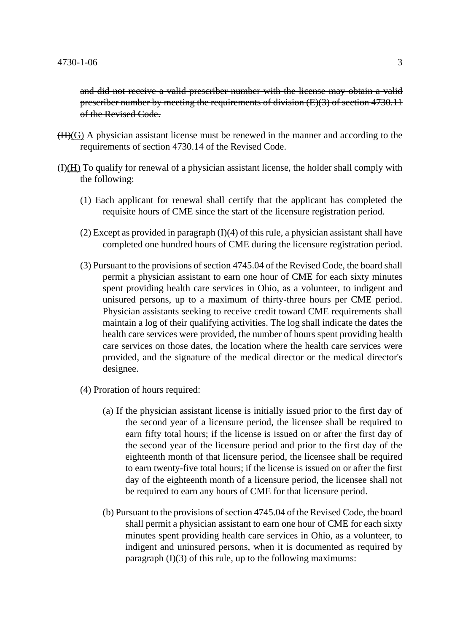and did not receive a valid prescriber number with the license may obtain a valid prescriber number by meeting the requirements of division (E)(3) of section 4730.11 of the Revised Code.

- $(H)(G)$  A physician assistant license must be renewed in the manner and according to the requirements of section 4730.14 of the Revised Code.
- $H(H)$  To qualify for renewal of a physician assistant license, the holder shall comply with the following:
	- (1) Each applicant for renewal shall certify that the applicant has completed the requisite hours of CME since the start of the licensure registration period.
	- (2) Except as provided in paragraph (I)(4) of this rule, a physician assistant shall have completed one hundred hours of CME during the licensure registration period.
	- (3) Pursuant to the provisions of section 4745.04 of the Revised Code, the board shall permit a physician assistant to earn one hour of CME for each sixty minutes spent providing health care services in Ohio, as a volunteer, to indigent and unisured persons, up to a maximum of thirty-three hours per CME period. Physician assistants seeking to receive credit toward CME requirements shall maintain a log of their qualifying activities. The log shall indicate the dates the health care services were provided, the number of hours spent providing health care services on those dates, the location where the health care services were provided, and the signature of the medical director or the medical director's designee.
	- (4) Proration of hours required:
		- (a) If the physician assistant license is initially issued prior to the first day of the second year of a licensure period, the licensee shall be required to earn fifty total hours; if the license is issued on or after the first day of the second year of the licensure period and prior to the first day of the eighteenth month of that licensure period, the licensee shall be required to earn twenty-five total hours; if the license is issued on or after the first day of the eighteenth month of a licensure period, the licensee shall not be required to earn any hours of CME for that licensure period.
		- (b) Pursuant to the provisions of section 4745.04 of the Revised Code, the board shall permit a physician assistant to earn one hour of CME for each sixty minutes spent providing health care services in Ohio, as a volunteer, to indigent and uninsured persons, when it is documented as required by paragraph  $(I)(3)$  of this rule, up to the following maximums: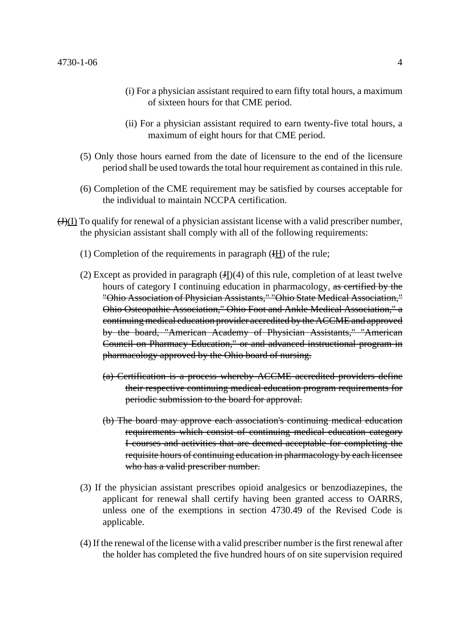- (i) For a physician assistant required to earn fifty total hours, a maximum of sixteen hours for that CME period.
- (ii) For a physician assistant required to earn twenty-five total hours, a maximum of eight hours for that CME period.
- (5) Only those hours earned from the date of licensure to the end of the licensure period shall be used towards the total hour requirement as contained in this rule.
- (6) Completion of the CME requirement may be satisfied by courses acceptable for the individual to maintain NCCPA certification.
- $\Theta(\underline{I})$  To qualify for renewal of a physician assistant license with a valid prescriber number, the physician assistant shall comply with all of the following requirements:
	- (1) Completion of the requirements in paragraph  $(HH)$  of the rule;
	- (2) Except as provided in paragraph  $(H)(4)$  of this rule, completion of at least twelve hours of category I continuing education in pharmacology, as certified by the "Ohio Association of Physician Assistants," "Ohio State Medical Association," Ohio Osteopathic Association," Ohio Foot and Ankle Medical Association," a continuing medical education provider accredited by the ACCME and approved by the board, "American Academy of Physician Assistants," "American Council on Pharmacy Education," or and advanced instructional program in pharmacology approved by the Ohio board of nursing.
		- (a) Certification is a process whereby ACCME accredited providers define their respective continuing medical education program requirements for periodic submission to the board for approval.
		- (b) The board may approve each association's continuing medical education requirements which consist of continuing medical education category I courses and activities that are deemed acceptable for completing the requisite hours of continuing education in pharmacology by each licensee who has a valid prescriber number.
	- (3) If the physician assistant prescribes opioid analgesics or benzodiazepines, the applicant for renewal shall certify having been granted access to OARRS, unless one of the exemptions in section 4730.49 of the Revised Code is applicable.
	- (4) If the renewal of the license with a valid prescriber number is the first renewal after the holder has completed the five hundred hours of on site supervision required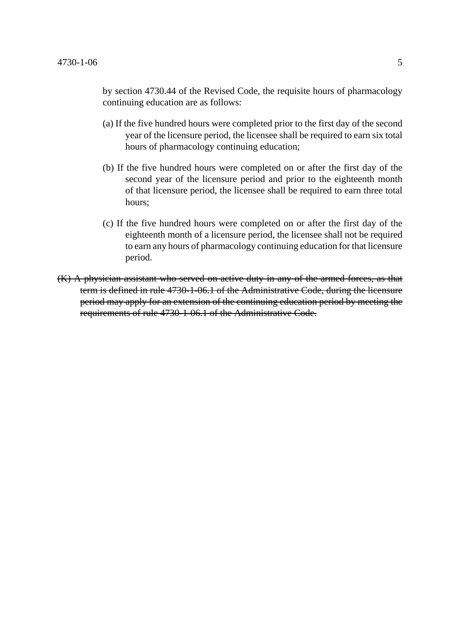by section 4730.44 of the Revised Code, the requisite hours of pharmacology continuing education are as follows:

- (a) If the five hundred hours were completed prior to the first day of the second year of the licensure period, the licensee shall be required to earn six total hours of pharmacology continuing education;
- (b) If the five hundred hours were completed on or after the first day of the second year of the licensure period and prior to the eighteenth month of that licensure period, the licensee shall be required to earn three total hours;
- (c) If the five hundred hours were completed on or after the first day of the eighteenth month of a licensure period, the licensee shall not be required to earn any hours of pharmacology continuing education for that licensure period.
- (K) A physician assistant who served on active duty in any of the armed forces, as that term is defined in rule 4730-1-06.1 of the Administrative Code, during the licensure period may apply for an extension of the continuing education period by meeting the requirements of rule 4730-1-06.1 of the Administrative Code.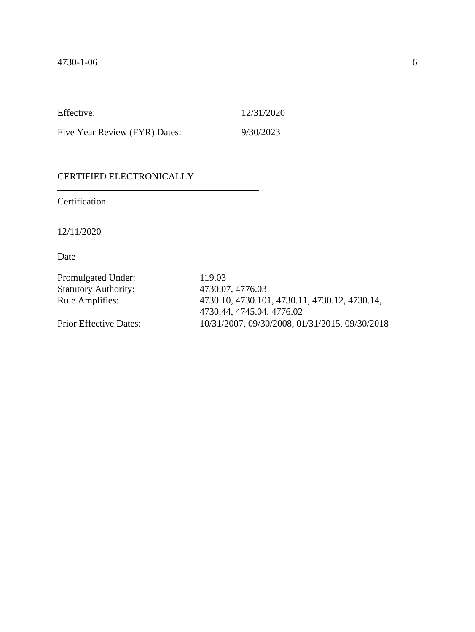Five Year Review (FYR) Dates: 9/30/2023

## CERTIFIED ELECTRONICALLY

Certification

12/11/2020

Date

| Promulgated Under:            | 119.03                                         |
|-------------------------------|------------------------------------------------|
| <b>Statutory Authority:</b>   | 4730.07, 4776.03                               |
| <b>Rule Amplifies:</b>        | 4730.10, 4730.101, 4730.11, 4730.12, 4730.14,  |
|                               | 4730.44, 4745.04, 4776.02                      |
| <b>Prior Effective Dates:</b> | 10/31/2007, 09/30/2008, 01/31/2015, 09/30/2018 |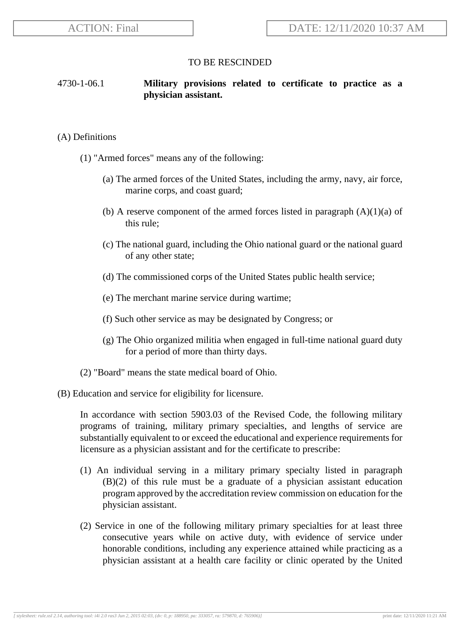## 4730-1-06.1 **Military provisions related to certificate to practice as a physician assistant.**

#### (A) Definitions

- (1) "Armed forces" means any of the following:
	- (a) The armed forces of the United States, including the army, navy, air force, marine corps, and coast guard;
	- (b) A reserve component of the armed forces listed in paragraph  $(A)(1)(a)$  of this rule;
	- (c) The national guard, including the Ohio national guard or the national guard of any other state;
	- (d) The commissioned corps of the United States public health service;
	- (e) The merchant marine service during wartime;
	- (f) Such other service as may be designated by Congress; or
	- (g) The Ohio organized militia when engaged in full-time national guard duty for a period of more than thirty days.
- (2) "Board" means the state medical board of Ohio.

#### (B) Education and service for eligibility for licensure.

In accordance with section 5903.03 of the Revised Code, the following military programs of training, military primary specialties, and lengths of service are substantially equivalent to or exceed the educational and experience requirements for licensure as a physician assistant and for the certificate to prescribe:

- (1) An individual serving in a military primary specialty listed in paragraph (B)(2) of this rule must be a graduate of a physician assistant education program approved by the accreditation review commission on education for the physician assistant.
- (2) Service in one of the following military primary specialties for at least three consecutive years while on active duty, with evidence of service under honorable conditions, including any experience attained while practicing as a physician assistant at a health care facility or clinic operated by the United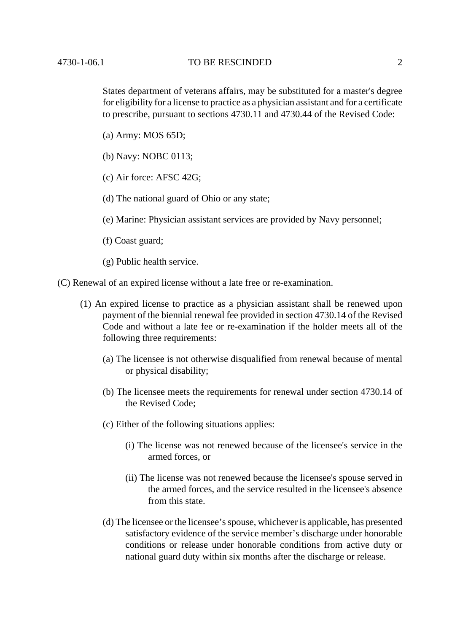#### 4730-1-06.1 TO BE RESCINDED 2

States department of veterans affairs, may be substituted for a master's degree for eligibility for a license to practice as a physician assistant and for a certificate to prescribe, pursuant to sections 4730.11 and 4730.44 of the Revised Code:

- (a) Army: MOS 65D;
- (b) Navy: NOBC 0113;
- (c) Air force: AFSC 42G;
- (d) The national guard of Ohio or any state;
- (e) Marine: Physician assistant services are provided by Navy personnel;
- (f) Coast guard;
- (g) Public health service.

(C) Renewal of an expired license without a late free or re-examination.

- (1) An expired license to practice as a physician assistant shall be renewed upon payment of the biennial renewal fee provided in section 4730.14 of the Revised Code and without a late fee or re-examination if the holder meets all of the following three requirements:
	- (a) The licensee is not otherwise disqualified from renewal because of mental or physical disability;
	- (b) The licensee meets the requirements for renewal under section 4730.14 of the Revised Code;
	- (c) Either of the following situations applies:
		- (i) The license was not renewed because of the licensee's service in the armed forces, or
		- (ii) The license was not renewed because the licensee's spouse served in the armed forces, and the service resulted in the licensee's absence from this state.
	- (d) The licensee or the licensee's spouse, whichever is applicable, has presented satisfactory evidence of the service member's discharge under honorable conditions or release under honorable conditions from active duty or national guard duty within six months after the discharge or release.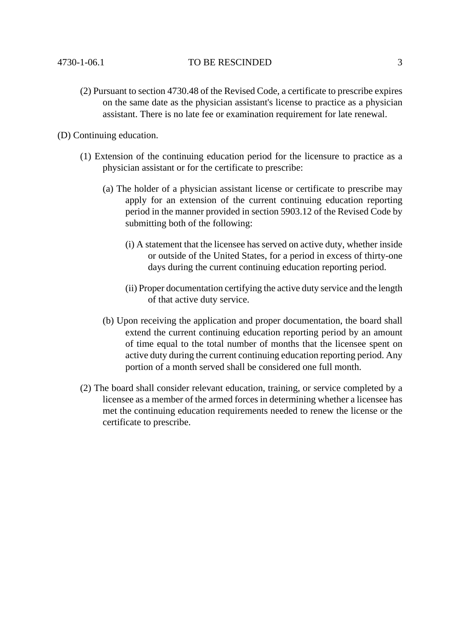#### 4730-1-06.1 TO BE RESCINDED 3

(2) Pursuant to section 4730.48 of the Revised Code, a certificate to prescribe expires on the same date as the physician assistant's license to practice as a physician assistant. There is no late fee or examination requirement for late renewal.

(D) Continuing education.

- (1) Extension of the continuing education period for the licensure to practice as a physician assistant or for the certificate to prescribe:
	- (a) The holder of a physician assistant license or certificate to prescribe may apply for an extension of the current continuing education reporting period in the manner provided in section 5903.12 of the Revised Code by submitting both of the following:
		- (i) A statement that the licensee has served on active duty, whether inside or outside of the United States, for a period in excess of thirty-one days during the current continuing education reporting period.
		- (ii) Proper documentation certifying the active duty service and the length of that active duty service.
	- (b) Upon receiving the application and proper documentation, the board shall extend the current continuing education reporting period by an amount of time equal to the total number of months that the licensee spent on active duty during the current continuing education reporting period. Any portion of a month served shall be considered one full month.
- (2) The board shall consider relevant education, training, or service completed by a licensee as a member of the armed forces in determining whether a licensee has met the continuing education requirements needed to renew the license or the certificate to prescribe.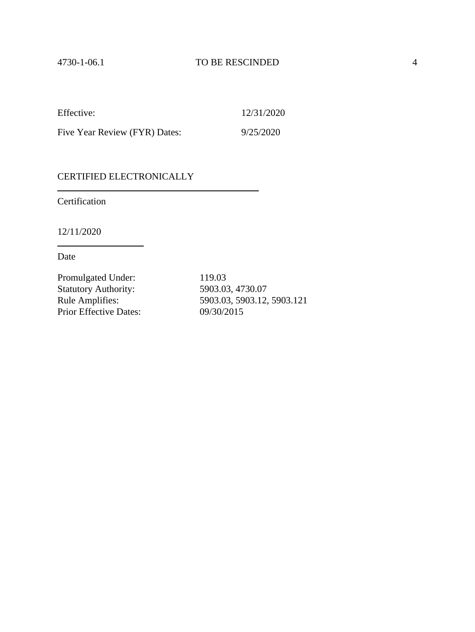Five Year Review (FYR) Dates: 9/25/2020

### CERTIFIED ELECTRONICALLY

Certification

12/11/2020

Date

Promulgated Under: 119.03 Statutory Authority: 5903.03, 4730.07<br>
Rule Amplifies: 5903.03, 5903.12, Prior Effective Dates: 09/30/2015

Rule Amplifies: 5903.03, 5903.12, 5903.121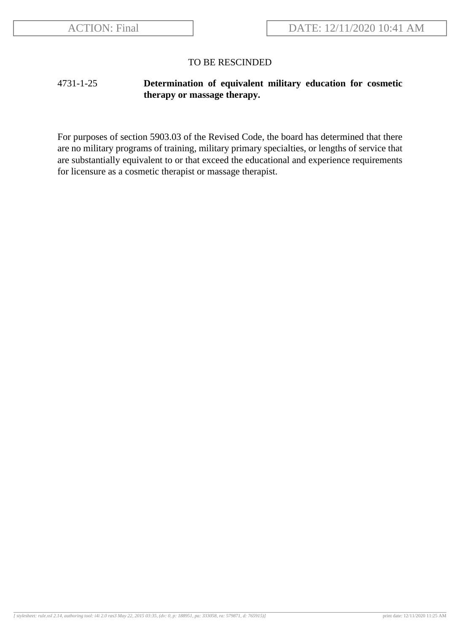## 4731-1-25 **Determination of equivalent military education for cosmetic therapy or massage therapy.**

For purposes of section 5903.03 of the Revised Code, the board has determined that there are no military programs of training, military primary specialties, or lengths of service that are substantially equivalent to or that exceed the educational and experience requirements for licensure as a cosmetic therapist or massage therapist.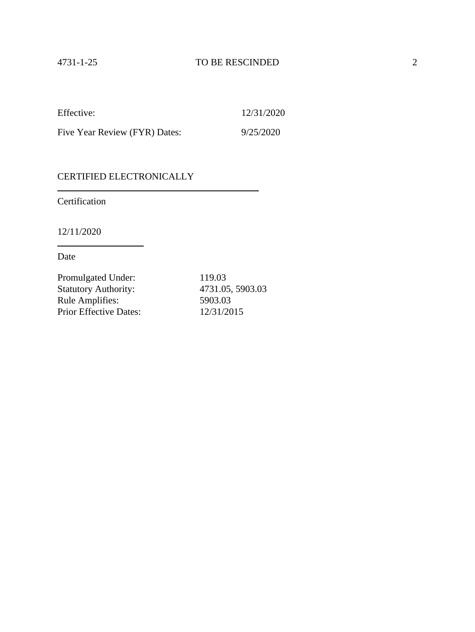Five Year Review (FYR) Dates: 9/25/2020

## CERTIFIED ELECTRONICALLY

Certification

12/11/2020

Date

| Promulgated Under:            | 119.03           |
|-------------------------------|------------------|
| <b>Statutory Authority:</b>   | 4731.05, 5903.03 |
| Rule Amplifies:               | 5903.03          |
| <b>Prior Effective Dates:</b> | 12/31/2015       |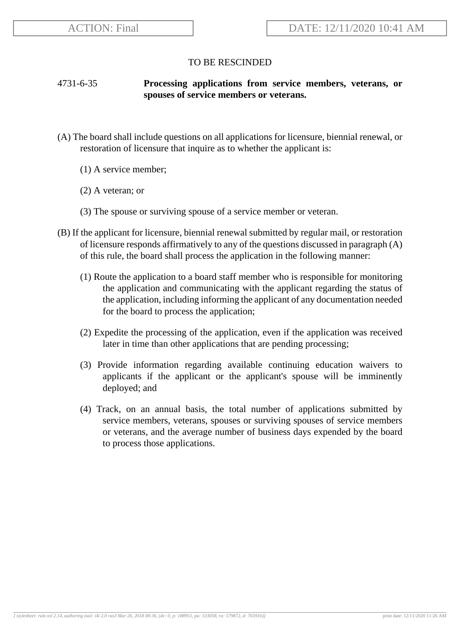## 4731-6-35 **Processing applications from service members, veterans, or spouses of service members or veterans.**

- (A) The board shall include questions on all applications for licensure, biennial renewal, or restoration of licensure that inquire as to whether the applicant is:
	- (1) A service member;
	- (2) A veteran; or
	- (3) The spouse or surviving spouse of a service member or veteran.
- (B) If the applicant for licensure, biennial renewal submitted by regular mail, or restoration of licensure responds affirmatively to any of the questions discussed in paragraph  $(A)$ of this rule, the board shall process the application in the following manner:
	- (1) Route the application to a board staff member who is responsible for monitoring the application and communicating with the applicant regarding the status of the application, including informing the applicant of any documentation needed for the board to process the application;
	- (2) Expedite the processing of the application, even if the application was received later in time than other applications that are pending processing;
	- (3) Provide information regarding available continuing education waivers to applicants if the applicant or the applicant's spouse will be imminently deployed; and
	- (4) Track, on an annual basis, the total number of applications submitted by service members, veterans, spouses or surviving spouses of service members or veterans, and the average number of business days expended by the board to process those applications.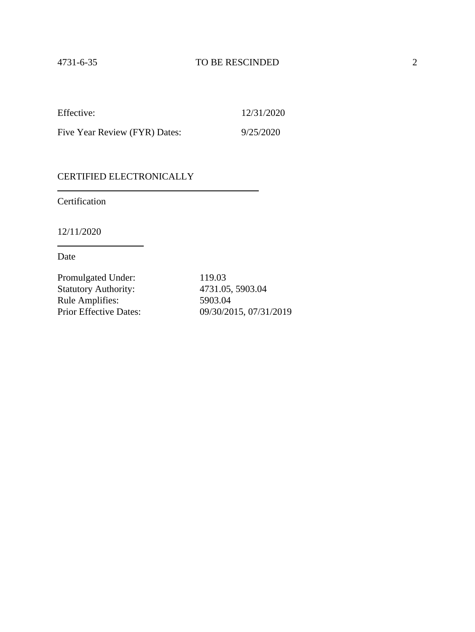Five Year Review (FYR) Dates: 9/25/2020

### CERTIFIED ELECTRONICALLY

Certification

12/11/2020

Date

Promulgated Under: 119.03 Statutory Authority: 4731.05, 5903.04 Rule Amplifies: 5903.04<br>Prior Effective Dates: 09/30/20

09/30/2015, 07/31/2019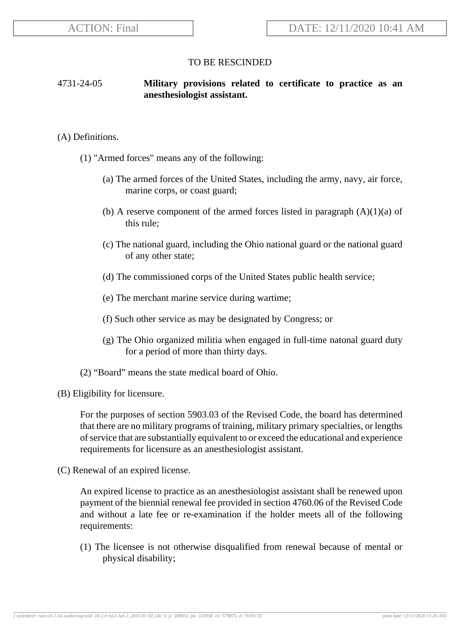### 4731-24-05 **Military provisions related to certificate to practice as an anesthesiologist assistant.**

#### (A) Definitions.

- (1) "Armed forces" means any of the following:
	- (a) The armed forces of the United States, including the army, navy, air force, marine corps, or coast guard;
	- (b) A reserve component of the armed forces listed in paragraph  $(A)(1)(a)$  of this rule;
	- (c) The national guard, including the Ohio national guard or the national guard of any other state;
	- (d) The commissioned corps of the United States public health service;
	- (e) The merchant marine service during wartime;
	- (f) Such other service as may be designated by Congress; or
	- (g) The Ohio organized militia when engaged in full-time natonal guard duty for a period of more than thirty days.
- (2) "Board" means the state medical board of Ohio.
- (B) Eligibility for licensure.

For the purposes of section 5903.03 of the Revised Code, the board has determined that there are no military programs of training, military primary specialties, or lengths of service that are substantially equivalent to or exceed the educational and experience requirements for licensure as an anesthesiologist assistant.

(C) Renewal of an expired license.

An expired license to practice as an anesthesiologist assistant shall be renewed upon payment of the biennial renewal fee provided in section 4760.06 of the Revised Code and without a late fee or re-examination if the holder meets all of the following requirements:

(1) The licensee is not otherwise disqualified from renewal because of mental or physical disability;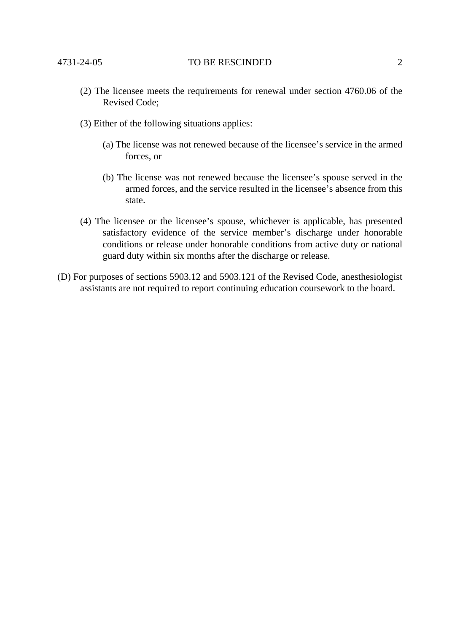- (2) The licensee meets the requirements for renewal under section 4760.06 of the Revised Code;
- (3) Either of the following situations applies:
	- (a) The license was not renewed because of the licensee's service in the armed forces, or
	- (b) The license was not renewed because the licensee's spouse served in the armed forces, and the service resulted in the licensee's absence from this state.
- (4) The licensee or the licensee's spouse, whichever is applicable, has presented satisfactory evidence of the service member's discharge under honorable conditions or release under honorable conditions from active duty or national guard duty within six months after the discharge or release.
- (D) For purposes of sections 5903.12 and 5903.121 of the Revised Code, anesthesiologist assistants are not required to report continuing education coursework to the board.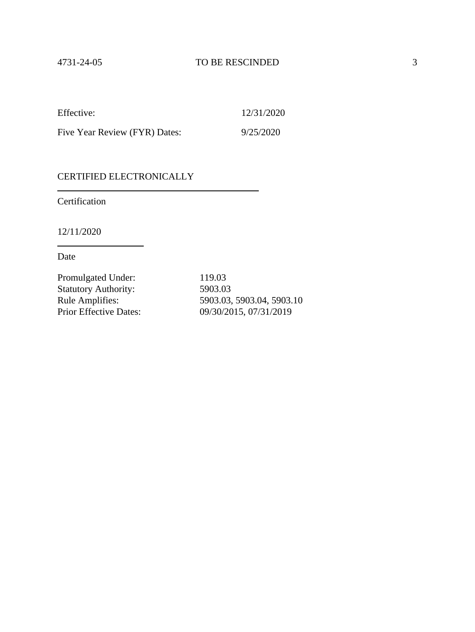Five Year Review (FYR) Dates: 9/25/2020

### CERTIFIED ELECTRONICALLY

Certification

12/11/2020

Date

Promulgated Under: 119.03 Statutory Authority: 5903.03<br>Rule Amplifies: 5903.03,

Rule Amplifies: 5903.03, 5903.04, 5903.10<br>Prior Effective Dates: 09/30/2015, 07/31/2019 09/30/2015, 07/31/2019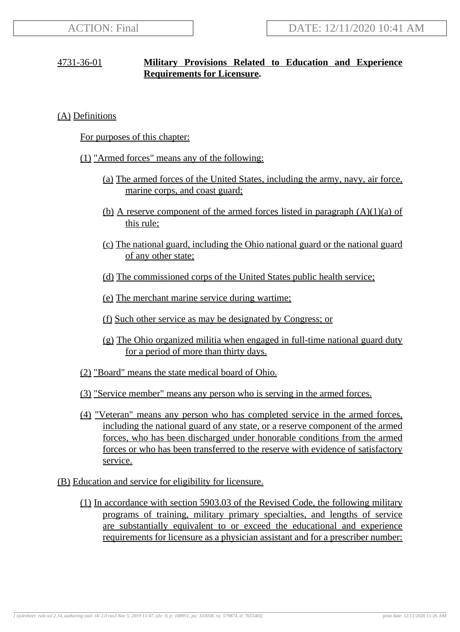## 4731-36-01 **Military Provisions Related to Education and Experience Requirements for Licensure.**

(A) Definitions

For purposes of this chapter:

- (1) "Armed forces" means any of the following:
	- (a) The armed forces of the United States, including the army, navy, air force, marine corps, and coast guard;
	- (b) A reserve component of the armed forces listed in paragraph  $(A)(1)(a)$  of this rule;
	- (c) The national guard, including the Ohio national guard or the national guard of any other state;
	- (d) The commissioned corps of the United States public health service;
	- (e) The merchant marine service during wartime;
	- (f) Such other service as may be designated by Congress; or
	- (g) The Ohio organized militia when engaged in full-time national guard duty for a period of more than thirty days.
- (2) "Board" means the state medical board of Ohio.
- (3) "Service member" means any person who is serving in the armed forces.
- (4) "Veteran" means any person who has completed service in the armed forces, including the national guard of any state, or a reserve component of the armed forces, who has been discharged under honorable conditions from the armed forces or who has been transferred to the reserve with evidence of satisfactory service.
- (B) Education and service for eligibility for licensure.
	- (1) In accordance with section 5903.03 of the Revised Code, the following military programs of training, military primary specialties, and lengths of service are substantially equivalent to or exceed the educational and experience requirements for licensure as a physician assistant and for a prescriber number: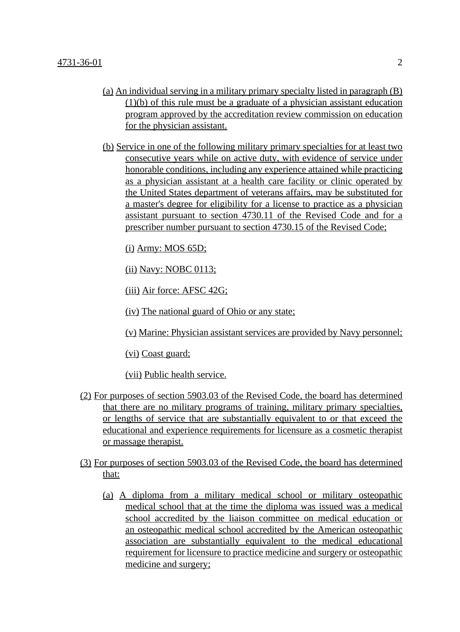- (a) An individual serving in a military primary specialty listed in paragraph (B) (1)(b) of this rule must be a graduate of a physician assistant education program approved by the accreditation review commission on education for the physician assistant.
- (b) Service in one of the following military primary specialties for at least two consecutive years while on active duty, with evidence of service under honorable conditions, including any experience attained while practicing as a physician assistant at a health care facility or clinic operated by the United States department of veterans affairs, may be substituted for a master's degree for eligibility for a license to practice as a physician assistant pursuant to section 4730.11 of the Revised Code and for a prescriber number pursuant to section 4730.15 of the Revised Code;

(i) Army: MOS 65D;

(ii) Navy: NOBC 0113;

(iii) Air force: AFSC 42G;

(iv) The national guard of Ohio or any state;

(v) Marine: Physician assistant services are provided by Navy personnel;

(vi) Coast guard;

(vii) Public health service.

- (2) For purposes of section 5903.03 of the Revised Code, the board has determined that there are no military programs of training, military primary specialties, or lengths of service that are substantially equivalent to or that exceed the educational and experience requirements for licensure as a cosmetic therapist or massage therapist.
- (3) For purposes of section 5903.03 of the Revised Code, the board has determined that:
	- (a) A diploma from a military medical school or military osteopathic medical school that at the time the diploma was issued was a medical school accredited by the liaison committee on medical education or an osteopathic medical school accredited by the American osteopathic association are substantially equivalent to the medical educational requirement for licensure to practice medicine and surgery or osteopathic medicine and surgery;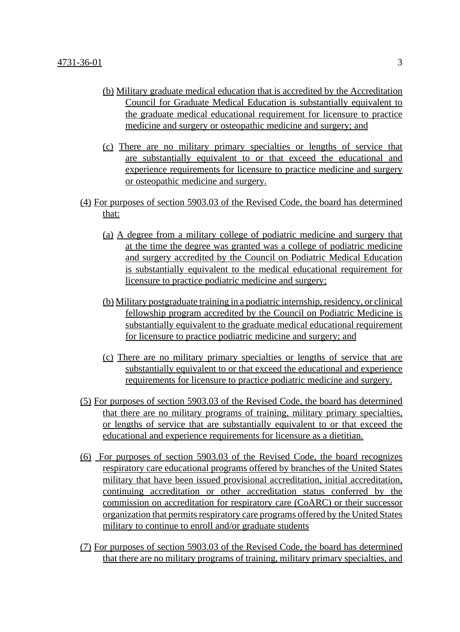- (b) Military graduate medical education that is accredited by the Accreditation Council for Graduate Medical Education is substantially equivalent to the graduate medical educational requirement for licensure to practice medicine and surgery or osteopathic medicine and surgery; and
- (c) There are no military primary specialties or lengths of service that are substantially equivalent to or that exceed the educational and experience requirements for licensure to practice medicine and surgery or osteopathic medicine and surgery.
- (4) For purposes of section 5903.03 of the Revised Code, the board has determined that:
	- (a) A degree from a military college of podiatric medicine and surgery that at the time the degree was granted was a college of podiatric medicine and surgery accredited by the Council on Podiatric Medical Education is substantially equivalent to the medical educational requirement for licensure to practice podiatric medicine and surgery;
	- (b) Military postgraduate training in a podiatric internship, residency, or clinical fellowship program accredited by the Council on Podiatric Medicine is substantially equivalent to the graduate medical educational requirement for licensure to practice podiatric medicine and surgery; and
	- (c) There are no military primary specialties or lengths of service that are substantially equivalent to or that exceed the educational and experience requirements for licensure to practice podiatric medicine and surgery.
- (5) For purposes of section 5903.03 of the Revised Code, the board has determined that there are no military programs of training, military primary specialties, or lengths of service that are substantially equivalent to or that exceed the educational and experience requirements for licensure as a dietitian.
- (6) For purposes of section 5903.03 of the Revised Code, the board recognizes respiratory care educational programs offered by branches of the United States military that have been issued provisional accreditation, initial accreditation, continuing accreditation or other accreditation status conferred by the commission on accreditation for respiratory care (CoARC) or their successor organization that permits respiratory care programs offered by the United States military to continue to enroll and/or graduate students
- (7) For purposes of section 5903.03 of the Revised Code, the board has determined that there are no military programs of training, military primary specialties, and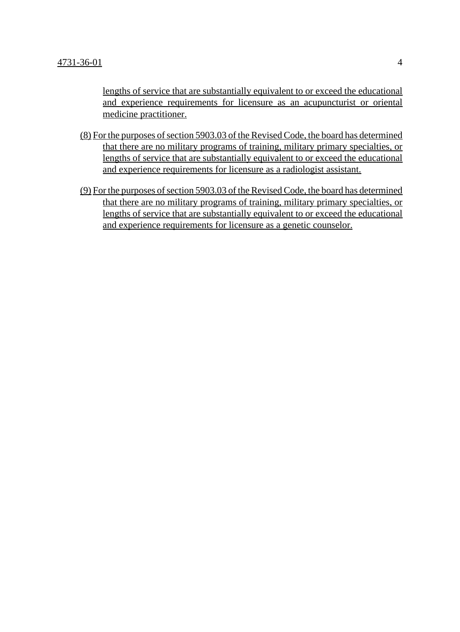lengths of service that are substantially equivalent to or exceed the educational and experience requirements for licensure as an acupuncturist or oriental medicine practitioner.

- (8) For the purposes of section 5903.03 of the Revised Code, the board has determined that there are no military programs of training, military primary specialties, or lengths of service that are substantially equivalent to or exceed the educational and experience requirements for licensure as a radiologist assistant.
- (9) For the purposes of section 5903.03 of the Revised Code, the board has determined that there are no military programs of training, military primary specialties, or lengths of service that are substantially equivalent to or exceed the educational and experience requirements for licensure as a genetic counselor.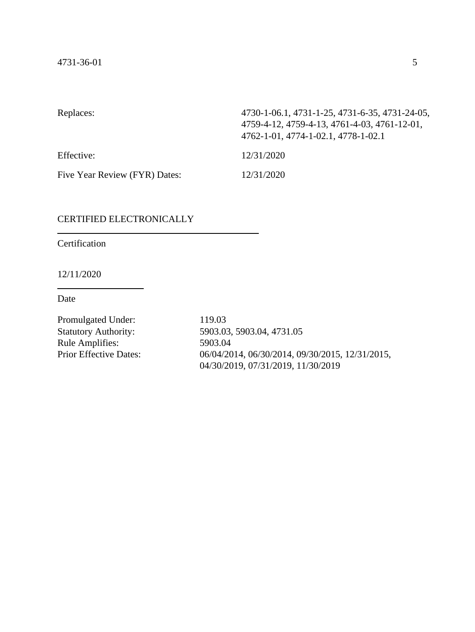| Replaces:                     | 4730-1-06.1, 4731-1-25, 4731-6-35, 4731-24-05,<br>4759-4-12, 4759-4-13, 4761-4-03, 4761-12-01,<br>4762-1-01, 4774-1-02.1, 4778-1-02.1 |
|-------------------------------|---------------------------------------------------------------------------------------------------------------------------------------|
| Effective:                    | 12/31/2020                                                                                                                            |
| Five Year Review (FYR) Dates: | 12/31/2020                                                                                                                            |

## CERTIFIED ELECTRONICALLY

Certification

12/11/2020

Date

Promulgated Under: 119.03<br>Statutory Authority: 5903.03 Rule Amplifies: 5903.04<br>Prior Effective Dates: 06/04/20

5903.03, 5903.04, 4731.05 06/04/2014, 06/30/2014, 09/30/2015, 12/31/2015, 04/30/2019, 07/31/2019, 11/30/2019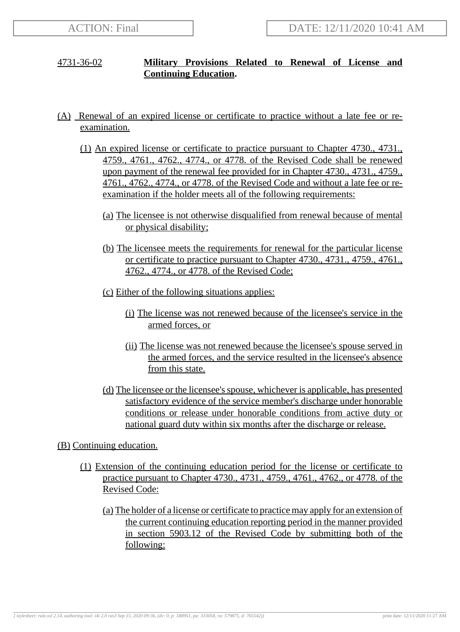## 4731-36-02 **Military Provisions Related to Renewal of License and Continuing Education.**

- (A) Renewal of an expired license or certificate to practice without a late fee or reexamination.
	- (1) An expired license or certificate to practice pursuant to Chapter 4730., 4731., 4759., 4761., 4762., 4774., or 4778. of the Revised Code shall be renewed upon payment of the renewal fee provided for in Chapter 4730., 4731., 4759., 4761., 4762., 4774., or 4778. of the Revised Code and without a late fee or reexamination if the holder meets all of the following requirements:
		- (a) The licensee is not otherwise disqualified from renewal because of mental or physical disability;
		- (b) The licensee meets the requirements for renewal for the particular license or certificate to practice pursuant to Chapter 4730., 4731., 4759., 4761., 4762., 4774., or 4778. of the Revised Code;
		- (c) Either of the following situations applies:
			- (i) The license was not renewed because of the licensee's service in the armed forces, or
			- (ii) The license was not renewed because the licensee's spouse served in the armed forces, and the service resulted in the licensee's absence from this state.
		- (d) The licensee or the licensee's spouse, whichever is applicable, has presented satisfactory evidence of the service member's discharge under honorable conditions or release under honorable conditions from active duty or national guard duty within six months after the discharge or release.

## (B) Continuing education.

- (1) Extension of the continuing education period for the license or certificate to practice pursuant to Chapter 4730., 4731., 4759., 4761., 4762., or 4778. of the Revised Code:
	- (a) The holder of a license or certificate to practice may apply for an extension of the current continuing education reporting period in the manner provided in section 5903.12 of the Revised Code by submitting both of the following: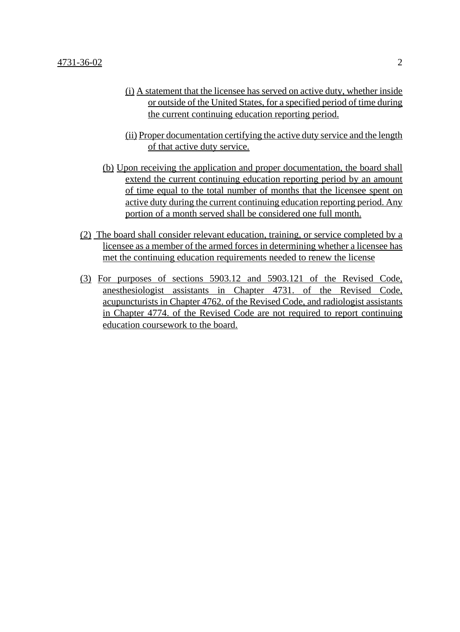- (i) A statement that the licensee has served on active duty, whether inside or outside of the United States, for a specified period of time during the current continuing education reporting period.
- (ii) Proper documentation certifying the active duty service and the length of that active duty service.
- (b) Upon receiving the application and proper documentation, the board shall extend the current continuing education reporting period by an amount of time equal to the total number of months that the licensee spent on active duty during the current continuing education reporting period. Any portion of a month served shall be considered one full month.
- (2) The board shall consider relevant education, training, or service completed by a licensee as a member of the armed forces in determining whether a licensee has met the continuing education requirements needed to renew the license
- (3) For purposes of sections 5903.12 and 5903.121 of the Revised Code, anesthesiologist assistants in Chapter 4731. of the Revised Code, acupuncturists in Chapter 4762. of the Revised Code, and radiologist assistants in Chapter 4774. of the Revised Code are not required to report continuing education coursework to the board.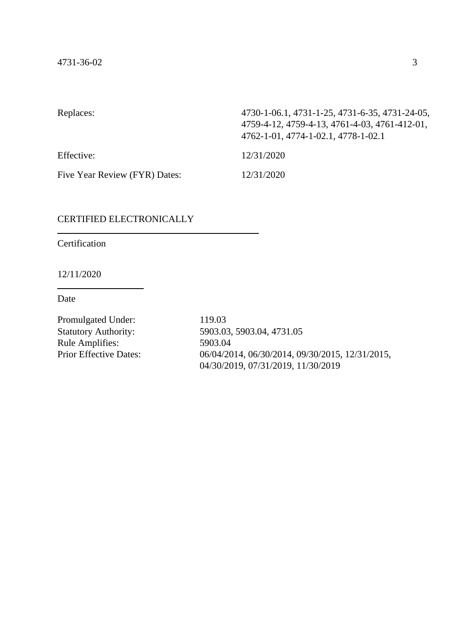| Replaces:                     | 4730-1-06.1, 4731-1-25, 4731-6-35, 4731-24-05,<br>4759-4-12, 4759-4-13, 4761-4-03, 4761-412-01,<br>4762-1-01, 4774-1-02.1, 4778-1-02.1 |
|-------------------------------|----------------------------------------------------------------------------------------------------------------------------------------|
| Effective:                    | 12/31/2020                                                                                                                             |
| Five Year Review (FYR) Dates: | 12/31/2020                                                                                                                             |

## CERTIFIED ELECTRONICALLY

Certification

12/11/2020

Date

Promulgated Under: 119.03<br>Statutory Authority: 5903.03 Rule Amplifies: 5903.04<br>Prior Effective Dates: 06/04/20

5903.03, 5903.04, 4731.05 06/04/2014, 06/30/2014, 09/30/2015, 12/31/2015, 04/30/2019, 07/31/2019, 11/30/2019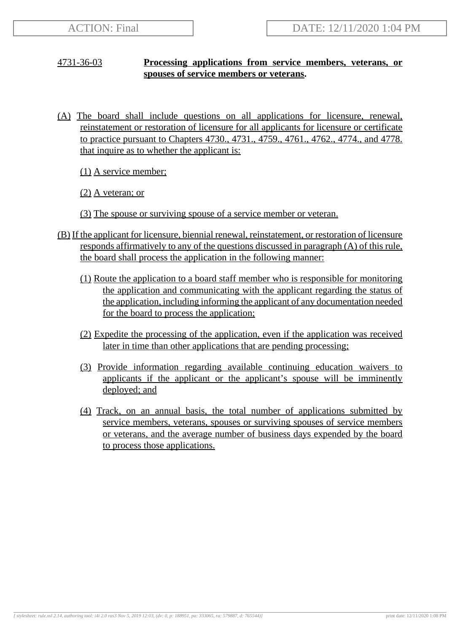## 4731-36-03 **Processing applications from service members, veterans, or spouses of service members or veterans.**

(A) The board shall include questions on all applications for licensure, renewal, reinstatement or restoration of licensure for all applicants for licensure or certificate to practice pursuant to Chapters 4730., 4731., 4759., 4761., 4762., 4774., and 4778. that inquire as to whether the applicant is:

(1) A service member;

(2) A veteran; or

- (3) The spouse or surviving spouse of a service member or veteran.
- (B) If the applicant for licensure, biennial renewal, reinstatement, or restoration of licensure responds affirmatively to any of the questions discussed in paragraph (A) of this rule, the board shall process the application in the following manner:
	- (1) Route the application to a board staff member who is responsible for monitoring the application and communicating with the applicant regarding the status of the application, including informing the applicant of any documentation needed for the board to process the application;
	- (2) Expedite the processing of the application, even if the application was received later in time than other applications that are pending processing;
	- (3) Provide information regarding available continuing education waivers to applicants if the applicant or the applicant's spouse will be imminently deployed; and
	- (4) Track, on an annual basis, the total number of applications submitted by service members, veterans, spouses or surviving spouses of service members or veterans, and the average number of business days expended by the board to process those applications.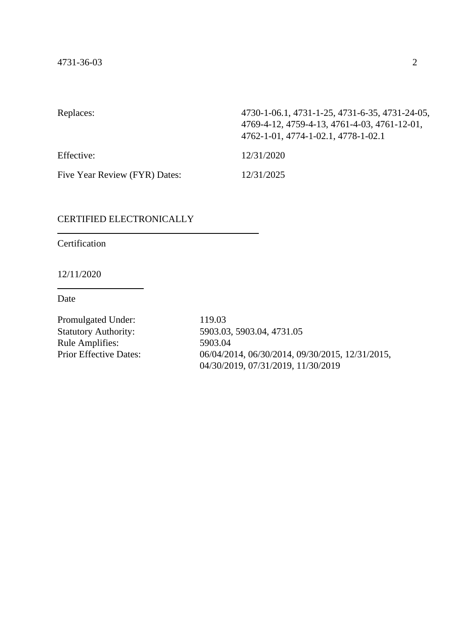| Replaces:                     | 4730-1-06.1, 4731-1-25, 4731-6-35, 4731-24-05,<br>4769-4-12, 4759-4-13, 4761-4-03, 4761-12-01,<br>4762-1-01, 4774-1-02.1, 4778-1-02.1 |
|-------------------------------|---------------------------------------------------------------------------------------------------------------------------------------|
| Effective:                    | 12/31/2020                                                                                                                            |
| Five Year Review (FYR) Dates: | 12/31/2025                                                                                                                            |

## CERTIFIED ELECTRONICALLY

Certification

12/11/2020

Date

Promulgated Under: 119.03<br>Statutory Authority: 5903.03 Rule Amplifies: 5903.04<br>Prior Effective Dates: 06/04/20

5903.03, 5903.04, 4731.05 06/04/2014, 06/30/2014, 09/30/2015, 12/31/2015, 04/30/2019, 07/31/2019, 11/30/2019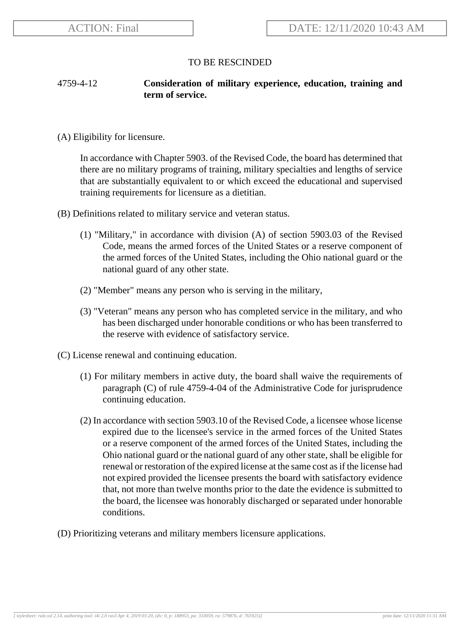## 4759-4-12 **Consideration of military experience, education, training and term of service.**

(A) Eligibility for licensure.

In accordance with Chapter 5903. of the Revised Code, the board has determined that there are no military programs of training, military specialties and lengths of service that are substantially equivalent to or which exceed the educational and supervised training requirements for licensure as a dietitian.

- (B) Definitions related to military service and veteran status.
	- (1) "Military," in accordance with division (A) of section 5903.03 of the Revised Code, means the armed forces of the United States or a reserve component of the armed forces of the United States, including the Ohio national guard or the national guard of any other state.
	- (2) "Member" means any person who is serving in the military,
	- (3) "Veteran" means any person who has completed service in the military, and who has been discharged under honorable conditions or who has been transferred to the reserve with evidence of satisfactory service.
- (C) License renewal and continuing education.
	- (1) For military members in active duty, the board shall waive the requirements of paragraph (C) of rule 4759-4-04 of the Administrative Code for jurisprudence continuing education.
	- (2) In accordance with section 5903.10 of the Revised Code, a licensee whose license expired due to the licensee's service in the armed forces of the United States or a reserve component of the armed forces of the United States, including the Ohio national guard or the national guard of any other state, shall be eligible for renewal or restoration of the expired license at the same cost as if the license had not expired provided the licensee presents the board with satisfactory evidence that, not more than twelve months prior to the date the evidence is submitted to the board, the licensee was honorably discharged or separated under honorable conditions.
- (D) Prioritizing veterans and military members licensure applications.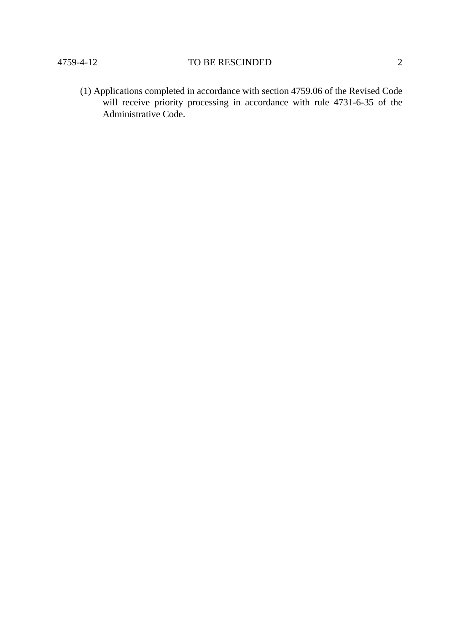(1) Applications completed in accordance with section 4759.06 of the Revised Code will receive priority processing in accordance with rule 4731-6-35 of the Administrative Code.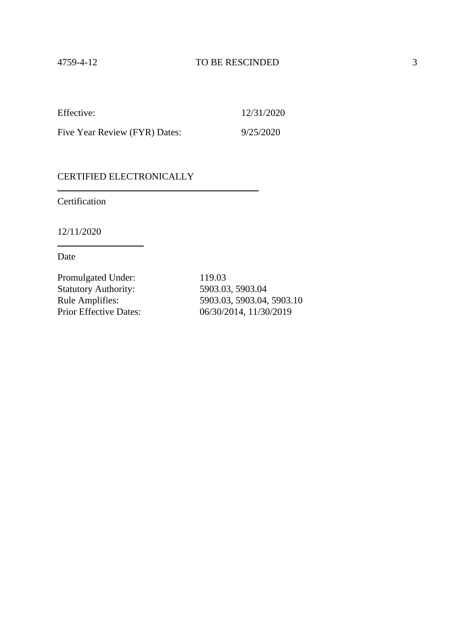Five Year Review (FYR) Dates: 9/25/2020

#### CERTIFIED ELECTRONICALLY

Certification

12/11/2020

Date

Promulgated Under: 119.03 Statutory Authority: 5903.03, 5903.04<br>Rule Amplifies: 5903.03, 5903.04,

Rule Amplifies: 5903.03, 5903.04, 5903.10<br>Prior Effective Dates: 06/30/2014, 11/30/2019 06/30/2014, 11/30/2019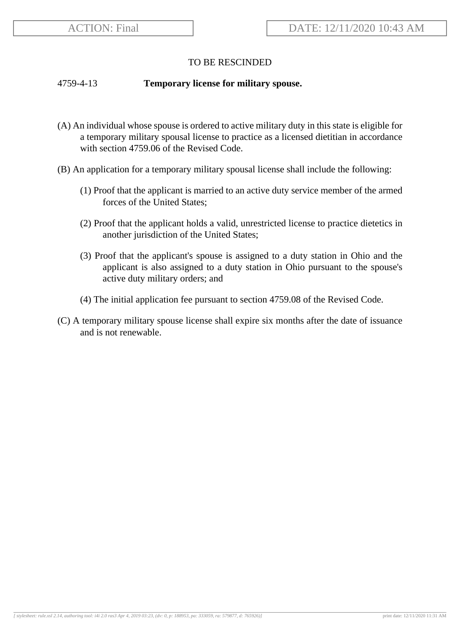#### 4759-4-13 **Temporary license for military spouse.**

- (A) An individual whose spouse is ordered to active military duty in this state is eligible for a temporary military spousal license to practice as a licensed dietitian in accordance with section 4759.06 of the Revised Code.
- (B) An application for a temporary military spousal license shall include the following:
	- (1) Proof that the applicant is married to an active duty service member of the armed forces of the United States;
	- (2) Proof that the applicant holds a valid, unrestricted license to practice dietetics in another jurisdiction of the United States;
	- (3) Proof that the applicant's spouse is assigned to a duty station in Ohio and the applicant is also assigned to a duty station in Ohio pursuant to the spouse's active duty military orders; and
	- (4) The initial application fee pursuant to section 4759.08 of the Revised Code.
- (C) A temporary military spouse license shall expire six months after the date of issuance and is not renewable.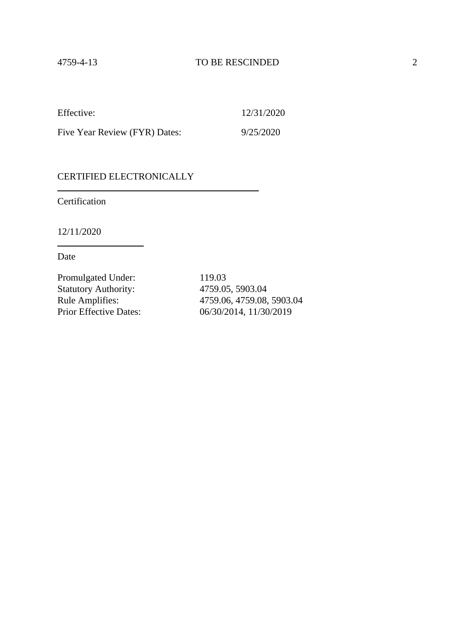Five Year Review (FYR) Dates: 9/25/2020

### CERTIFIED ELECTRONICALLY

Certification

12/11/2020

Date

Promulgated Under: 119.03 Statutory Authority: 4759.05, 5903.04<br>Rule Amplifies: 4759.06, 4759.08,

Rule Amplifies: 4759.06, 4759.08, 5903.04<br>Prior Effective Dates: 06/30/2014, 11/30/2019 06/30/2014, 11/30/2019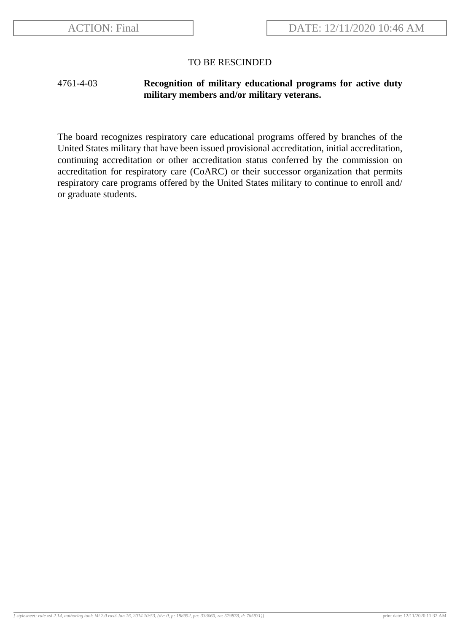## 4761-4-03 **Recognition of military educational programs for active duty military members and/or military veterans.**

The board recognizes respiratory care educational programs offered by branches of the United States military that have been issued provisional accreditation, initial accreditation, continuing accreditation or other accreditation status conferred by the commission on accreditation for respiratory care (CoARC) or their successor organization that permits respiratory care programs offered by the United States military to continue to enroll and/ or graduate students.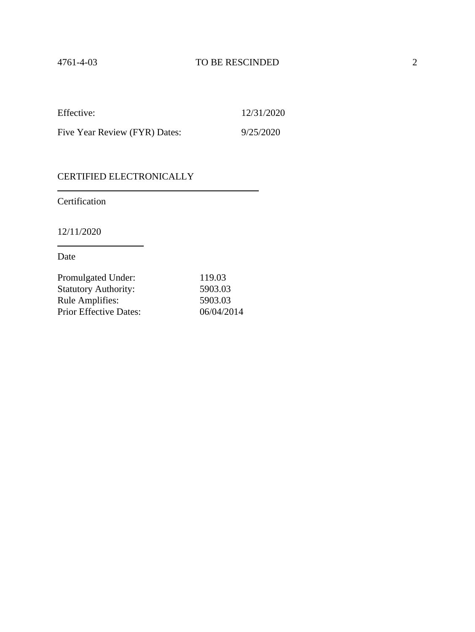| Effective:                    | 12/31/2020 |
|-------------------------------|------------|
| Five Year Review (FYR) Dates: | 9/25/2020  |

## CERTIFIED ELECTRONICALLY

Certification

12/11/2020

Date

| Promulgated Under:            | 119.03     |
|-------------------------------|------------|
| <b>Statutory Authority:</b>   | 5903.03    |
| <b>Rule Amplifies:</b>        | 5903.03    |
| <b>Prior Effective Dates:</b> | 06/04/2014 |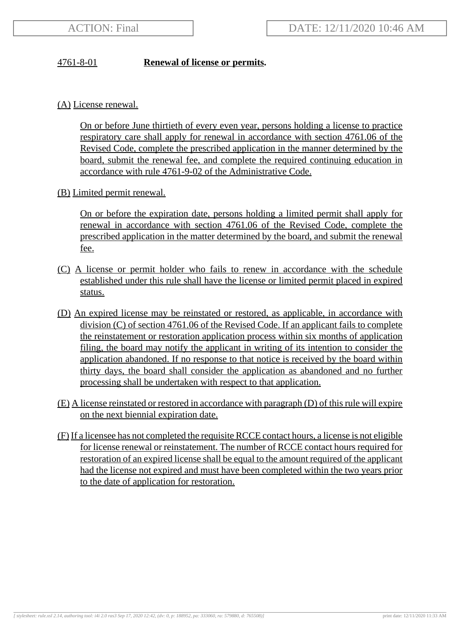## 4761-8-01 **Renewal of license or permits.**

(A) License renewal.

On or before June thirtieth of every even year, persons holding a license to practice respiratory care shall apply for renewal in accordance with section 4761.06 of the Revised Code, complete the prescribed application in the manner determined by the board, submit the renewal fee, and complete the required continuing education in accordance with rule 4761-9-02 of the Administrative Code.

(B) Limited permit renewal.

On or before the expiration date, persons holding a limited permit shall apply for renewal in accordance with section 4761.06 of the Revised Code, complete the prescribed application in the matter determined by the board, and submit the renewal fee.

- (C) A license or permit holder who fails to renew in accordance with the schedule established under this rule shall have the license or limited permit placed in expired status.
- (D) An expired license may be reinstated or restored, as applicable, in accordance with division (C) of section 4761.06 of the Revised Code. If an applicant fails to complete the reinstatement or restoration application process within six months of application filing, the board may notify the applicant in writing of its intention to consider the application abandoned. If no response to that notice is received by the board within thirty days, the board shall consider the application as abandoned and no further processing shall be undertaken with respect to that application.
- (E) A license reinstated or restored in accordance with paragraph (D) of this rule will expire on the next biennial expiration date.
- (F) If a licensee has not completed the requisite RCCE contact hours, a license is not eligible for license renewal or reinstatement. The number of RCCE contact hours required for restoration of an expired license shall be equal to the amount required of the applicant had the license not expired and must have been completed within the two years prior to the date of application for restoration.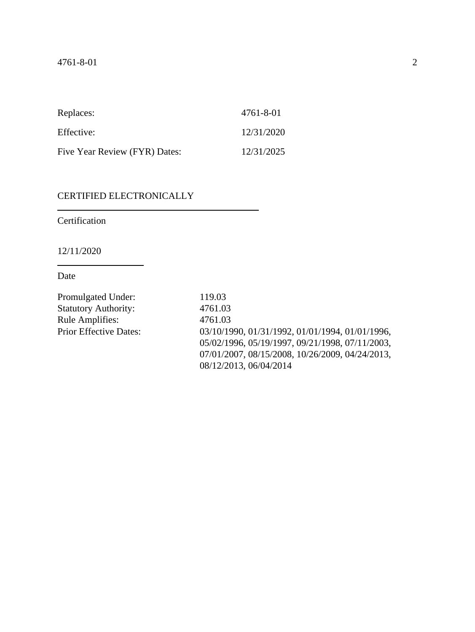| Replaces:                     | 4761-8-01  |
|-------------------------------|------------|
| Effective:                    | 12/31/2020 |
| Five Year Review (FYR) Dates: | 12/31/2025 |

# CERTIFIED ELECTRONICALLY

**Certification** 

12/11/2020

Date

| Promulgated Under:            | 119.03                                          |
|-------------------------------|-------------------------------------------------|
| <b>Statutory Authority:</b>   | 4761.03                                         |
| Rule Amplifies:               | 4761.03                                         |
| <b>Prior Effective Dates:</b> | 03/10/1990, 01/31/1992, 01/01/1994, 01/01/1996, |
|                               | 05/02/1996, 05/19/1997, 09/21/1998, 07/11/2003, |
|                               | 07/01/2007, 08/15/2008, 10/26/2009, 04/24/2013, |
|                               | 08/12/2013, 06/04/2014                          |
|                               |                                                 |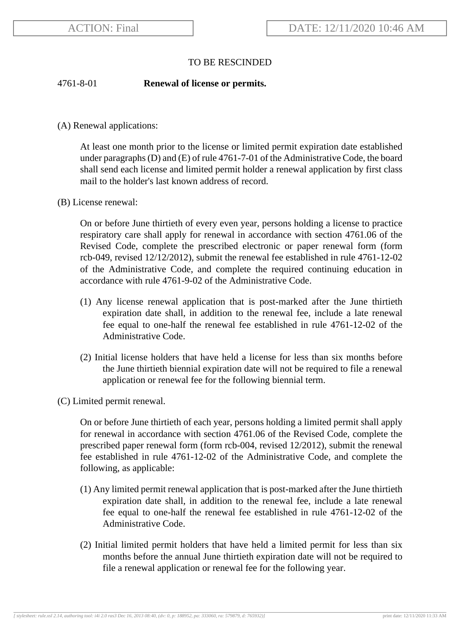### 4761-8-01 **Renewal of license or permits.**

(A) Renewal applications:

At least one month prior to the license or limited permit expiration date established under paragraphs (D) and (E) of rule 4761-7-01 of the Administrative Code, the board shall send each license and limited permit holder a renewal application by first class mail to the holder's last known address of record.

(B) License renewal:

On or before June thirtieth of every even year, persons holding a license to practice respiratory care shall apply for renewal in accordance with section 4761.06 of the Revised Code, complete the prescribed electronic or paper renewal form (form rcb-049, revised 12/12/2012), submit the renewal fee established in rule 4761-12-02 of the Administrative Code, and complete the required continuing education in accordance with rule 4761-9-02 of the Administrative Code.

- (1) Any license renewal application that is post-marked after the June thirtieth expiration date shall, in addition to the renewal fee, include a late renewal fee equal to one-half the renewal fee established in rule 4761-12-02 of the Administrative Code.
- (2) Initial license holders that have held a license for less than six months before the June thirtieth biennial expiration date will not be required to file a renewal application or renewal fee for the following biennial term.
- (C) Limited permit renewal.

On or before June thirtieth of each year, persons holding a limited permit shall apply for renewal in accordance with section 4761.06 of the Revised Code, complete the prescribed paper renewal form (form rcb-004, revised 12/2012), submit the renewal fee established in rule 4761-12-02 of the Administrative Code, and complete the following, as applicable:

- (1) Any limited permit renewal application that is post-marked after the June thirtieth expiration date shall, in addition to the renewal fee, include a late renewal fee equal to one-half the renewal fee established in rule 4761-12-02 of the Administrative Code.
- (2) Initial limited permit holders that have held a limited permit for less than six months before the annual June thirtieth expiration date will not be required to file a renewal application or renewal fee for the following year.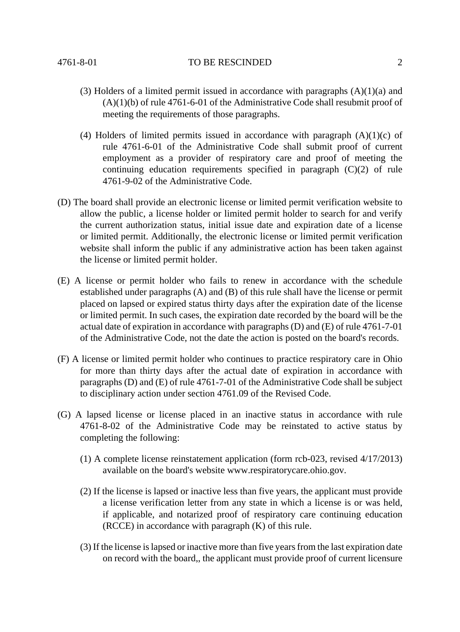- (3) Holders of a limited permit issued in accordance with paragraphs  $(A)(1)(a)$  and (A)(1)(b) of rule 4761-6-01 of the Administrative Code shall resubmit proof of meeting the requirements of those paragraphs.
- (4) Holders of limited permits issued in accordance with paragraph  $(A)(1)(c)$  of rule 4761-6-01 of the Administrative Code shall submit proof of current employment as a provider of respiratory care and proof of meeting the continuing education requirements specified in paragraph (C)(2) of rule 4761-9-02 of the Administrative Code.
- (D) The board shall provide an electronic license or limited permit verification website to allow the public, a license holder or limited permit holder to search for and verify the current authorization status, initial issue date and expiration date of a license or limited permit. Additionally, the electronic license or limited permit verification website shall inform the public if any administrative action has been taken against the license or limited permit holder.
- (E) A license or permit holder who fails to renew in accordance with the schedule established under paragraphs (A) and (B) of this rule shall have the license or permit placed on lapsed or expired status thirty days after the expiration date of the license or limited permit. In such cases, the expiration date recorded by the board will be the actual date of expiration in accordance with paragraphs (D) and (E) of rule 4761-7-01 of the Administrative Code, not the date the action is posted on the board's records.
- (F) A license or limited permit holder who continues to practice respiratory care in Ohio for more than thirty days after the actual date of expiration in accordance with paragraphs (D) and (E) of rule 4761-7-01 of the Administrative Code shall be subject to disciplinary action under section 4761.09 of the Revised Code.
- (G) A lapsed license or license placed in an inactive status in accordance with rule 4761-8-02 of the Administrative Code may be reinstated to active status by completing the following:
	- (1) A complete license reinstatement application (form rcb-023, revised 4/17/2013) available on the board's website www.respiratorycare.ohio.gov.
	- (2) If the license is lapsed or inactive less than five years, the applicant must provide a license verification letter from any state in which a license is or was held, if applicable, and notarized proof of respiratory care continuing education (RCCE) in accordance with paragraph (K) of this rule.
	- (3) If the license is lapsed or inactive more than five years from the last expiration date on record with the board,, the applicant must provide proof of current licensure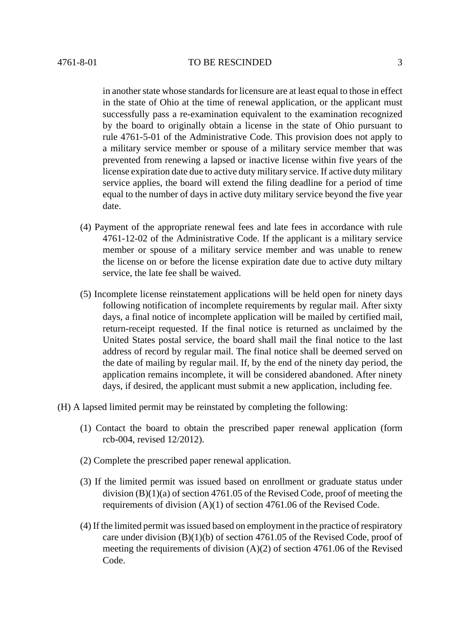in another state whose standards for licensure are at least equal to those in effect in the state of Ohio at the time of renewal application, or the applicant must successfully pass a re-examination equivalent to the examination recognized by the board to originally obtain a license in the state of Ohio pursuant to rule 4761-5-01 of the Administrative Code. This provision does not apply to a military service member or spouse of a military service member that was prevented from renewing a lapsed or inactive license within five years of the license expiration date due to active duty military service. If active duty military service applies, the board will extend the filing deadline for a period of time equal to the number of days in active duty military service beyond the five year date.

- (4) Payment of the appropriate renewal fees and late fees in accordance with rule 4761-12-02 of the Administrative Code. If the applicant is a military service member or spouse of a military service member and was unable to renew the license on or before the license expiration date due to active duty miltary service, the late fee shall be waived.
- (5) Incomplete license reinstatement applications will be held open for ninety days following notification of incomplete requirements by regular mail. After sixty days, a final notice of incomplete application will be mailed by certified mail, return-receipt requested. If the final notice is returned as unclaimed by the United States postal service, the board shall mail the final notice to the last address of record by regular mail. The final notice shall be deemed served on the date of mailing by regular mail. If, by the end of the ninety day period, the application remains incomplete, it will be considered abandoned. After ninety days, if desired, the applicant must submit a new application, including fee.
- (H) A lapsed limited permit may be reinstated by completing the following:
	- (1) Contact the board to obtain the prescribed paper renewal application (form rcb-004, revised 12/2012).
	- (2) Complete the prescribed paper renewal application.
	- (3) If the limited permit was issued based on enrollment or graduate status under division (B)(1)(a) of section 4761.05 of the Revised Code, proof of meeting the requirements of division (A)(1) of section 4761.06 of the Revised Code.
	- (4) If the limited permit was issued based on employment in the practice of respiratory care under division (B)(1)(b) of section 4761.05 of the Revised Code, proof of meeting the requirements of division (A)(2) of section 4761.06 of the Revised Code.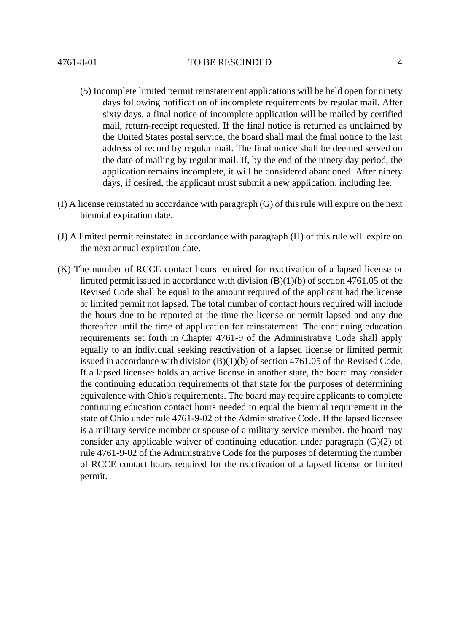- (5) Incomplete limited permit reinstatement applications will be held open for ninety days following notification of incomplete requirements by regular mail. After sixty days, a final notice of incomplete application will be mailed by certified mail, return-receipt requested. If the final notice is returned as unclaimed by the United States postal service, the board shall mail the final notice to the last address of record by regular mail. The final notice shall be deemed served on the date of mailing by regular mail. If, by the end of the ninety day period, the application remains incomplete, it will be considered abandoned. After ninety days, if desired, the applicant must submit a new application, including fee.
- (I) A license reinstated in accordance with paragraph (G) of this rule will expire on the next biennial expiration date.
- (J) A limited permit reinstated in accordance with paragraph (H) of this rule will expire on the next annual expiration date.
- (K) The number of RCCE contact hours required for reactivation of a lapsed license or limited permit issued in accordance with division (B)(1)(b) of section 4761.05 of the Revised Code shall be equal to the amount required of the applicant had the license or limited permit not lapsed. The total number of contact hours required will include the hours due to be reported at the time the license or permit lapsed and any due thereafter until the time of application for reinstatement. The continuing education requirements set forth in Chapter 4761-9 of the Administrative Code shall apply equally to an individual seeking reactivation of a lapsed license or limited permit issued in accordance with division (B)(1)(b) of section 4761.05 of the Revised Code. If a lapsed licensee holds an active license in another state, the board may consider the continuing education requirements of that state for the purposes of determining equivalence with Ohio's requirements. The board may require applicants to complete continuing education contact hours needed to equal the biennial requirement in the state of Ohio under rule 4761-9-02 of the Administrative Code. If the lapsed licensee is a military service member or spouse of a military service member, the board may consider any applicable waiver of continuing education under paragraph (G)(2) of rule 4761-9-02 of the Administrative Code for the purposes of determing the number of RCCE contact hours required for the reactivation of a lapsed license or limited permit.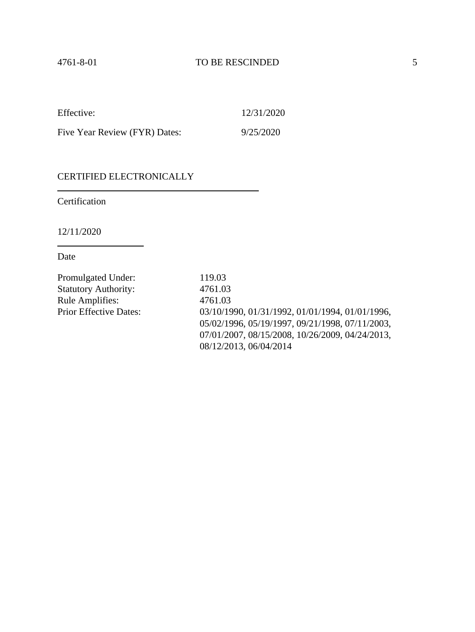| Effective:                    | 12/31/2020 |
|-------------------------------|------------|
| Five Year Review (FYR) Dates: | 9/25/2020  |

### CERTIFIED ELECTRONICALLY

Certification

12/11/2020

Date

Promulgated Under: 119.03 Statutory Authority: 4761.03 Rule Amplifies: 4761.03

Prior Effective Dates: 03/10/1990, 01/31/1992, 01/01/1994, 01/01/1996, 05/02/1996, 05/19/1997, 09/21/1998, 07/11/2003, 07/01/2007, 08/15/2008, 10/26/2009, 04/24/2013, 08/12/2013, 06/04/2014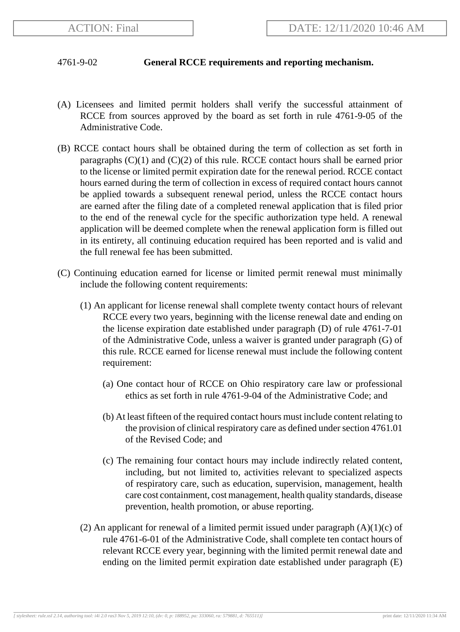## 4761-9-02 **General RCCE requirements and reporting mechanism.**

- (A) Licensees and limited permit holders shall verify the successful attainment of RCCE from sources approved by the board as set forth in rule 4761-9-05 of the Administrative Code.
- (B) RCCE contact hours shall be obtained during the term of collection as set forth in paragraphs  $(C)(1)$  and  $(C)(2)$  of this rule. RCCE contact hours shall be earned prior to the license or limited permit expiration date for the renewal period. RCCE contact hours earned during the term of collection in excess of required contact hours cannot be applied towards a subsequent renewal period, unless the RCCE contact hours are earned after the filing date of a completed renewal application that is filed prior to the end of the renewal cycle for the specific authorization type held. A renewal application will be deemed complete when the renewal application form is filled out in its entirety, all continuing education required has been reported and is valid and the full renewal fee has been submitted.
- (C) Continuing education earned for license or limited permit renewal must minimally include the following content requirements:
	- (1) An applicant for license renewal shall complete twenty contact hours of relevant RCCE every two years, beginning with the license renewal date and ending on the license expiration date established under paragraph (D) of rule 4761-7-01 of the Administrative Code, unless a waiver is granted under paragraph (G) of this rule. RCCE earned for license renewal must include the following content requirement:
		- (a) One contact hour of RCCE on Ohio respiratory care law or professional ethics as set forth in rule 4761-9-04 of the Administrative Code; and
		- (b) At least fifteen of the required contact hours must include content relating to the provision of clinical respiratory care as defined under section 4761.01 of the Revised Code; and
		- (c) The remaining four contact hours may include indirectly related content, including, but not limited to, activities relevant to specialized aspects of respiratory care, such as education, supervision, management, health care cost containment, cost management, health quality standards, disease prevention, health promotion, or abuse reporting.
	- (2) An applicant for renewal of a limited permit issued under paragraph  $(A)(1)(c)$  of rule 4761-6-01 of the Administrative Code, shall complete ten contact hours of relevant RCCE every year, beginning with the limited permit renewal date and ending on the limited permit expiration date established under paragraph (E)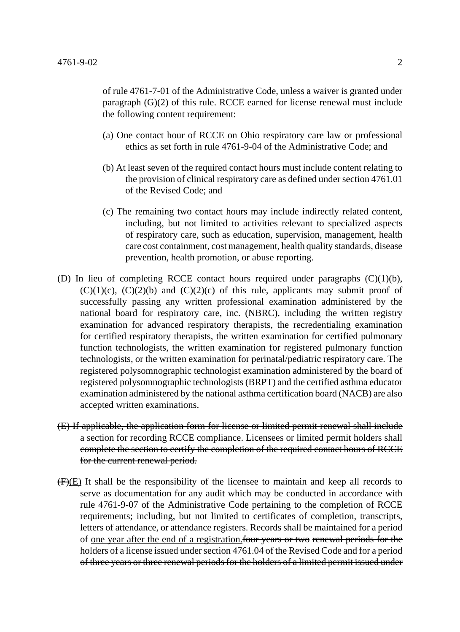of rule 4761-7-01 of the Administrative Code, unless a waiver is granted under paragraph (G)(2) of this rule. RCCE earned for license renewal must include the following content requirement:

- (a) One contact hour of RCCE on Ohio respiratory care law or professional ethics as set forth in rule 4761-9-04 of the Administrative Code; and
- (b) At least seven of the required contact hours must include content relating to the provision of clinical respiratory care as defined under section 4761.01 of the Revised Code; and
- (c) The remaining two contact hours may include indirectly related content, including, but not limited to activities relevant to specialized aspects of respiratory care, such as education, supervision, management, health care cost containment, cost management, health quality standards, disease prevention, health promotion, or abuse reporting.
- (D) In lieu of completing RCCE contact hours required under paragraphs  $(C)(1)(b)$ ,  $(C)(1)(c)$ ,  $(C)(2)(b)$  and  $(C)(2)(c)$  of this rule, applicants may submit proof of successfully passing any written professional examination administered by the national board for respiratory care, inc. (NBRC), including the written registry examination for advanced respiratory therapists, the recredentialing examination for certified respiratory therapists, the written examination for certified pulmonary function technologists, the written examination for registered pulmonary function technologists, or the written examination for perinatal/pediatric respiratory care. The registered polysomnographic technologist examination administered by the board of registered polysomnographic technologists (BRPT) and the certified asthma educator examination administered by the national asthma certification board (NACB) are also accepted written examinations.
- (E) If applicable, the application form for license or limited permit renewal shall include a section for recording RCCE compliance. Licensees or limited permit holders shall complete the section to certify the completion of the required contact hours of RCCE for the current renewal period.
- $(F)(E)$  It shall be the responsibility of the licensee to maintain and keep all records to serve as documentation for any audit which may be conducted in accordance with rule 4761-9-07 of the Administrative Code pertaining to the completion of RCCE requirements; including, but not limited to certificates of completion, transcripts, letters of attendance, or attendance registers. Records shall be maintained for a period of one year after the end of a registration.four years or two renewal periods for the holders of a license issued under section 4761.04 of the Revised Code and for a period of three years or three renewal periods for the holders of a limited permit issued under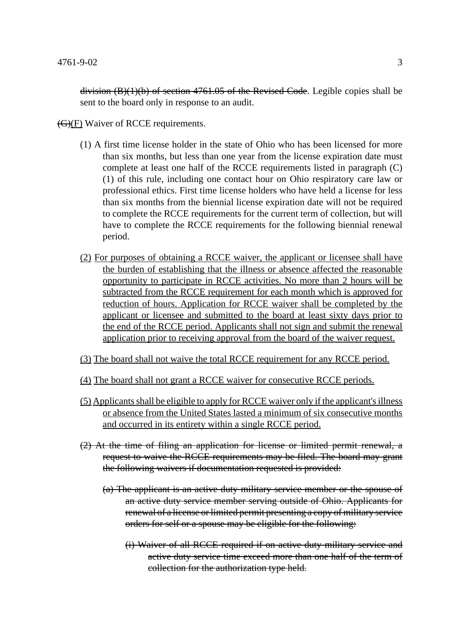division  $(B)(1)(b)$  of section 4761.05 of the Revised Code. Legible copies shall be sent to the board only in response to an audit.

 $\left(\frac{G}{F}\right)$  Waiver of RCCE requirements.

- (1) A first time license holder in the state of Ohio who has been licensed for more than six months, but less than one year from the license expiration date must complete at least one half of the RCCE requirements listed in paragraph (C) (1) of this rule, including one contact hour on Ohio respiratory care law or professional ethics. First time license holders who have held a license for less than six months from the biennial license expiration date will not be required to complete the RCCE requirements for the current term of collection, but will have to complete the RCCE requirements for the following biennial renewal period.
- (2) For purposes of obtaining a RCCE waiver, the applicant or licensee shall have the burden of establishing that the illness or absence affected the reasonable opportunity to participate in RCCE activities. No more than 2 hours will be subtracted from the RCCE requirement for each month which is approved for reduction of hours. Application for RCCE waiver shall be completed by the applicant or licensee and submitted to the board at least sixty days prior to the end of the RCCE period. Applicants shall not sign and submit the renewal application prior to receiving approval from the board of the waiver request.
- (3) The board shall not waive the total RCCE requirement for any RCCE period.
- (4) The board shall not grant a RCCE waiver for consecutive RCCE periods.
- (5) Applicants shall be eligible to apply for RCCE waiver only if the applicant's illness or absence from the United States lasted a minimum of six consecutive months and occurred in its entirety within a single RCCE period.
- (2) At the time of filing an application for license or limited permit renewal, a request to waive the RCCE requirements may be filed. The board may grant the following waivers if documentation requested is provided:
	- (a) The applicant is an active duty military service member or the spouse of an active duty service member serving outside of Ohio. Applicants for renewal of a license or limited permit presenting a copy of military service orders for self or a spouse may be eligible for the following:
		- (i) Waiver of all RCCE required if on active duty military service and active duty service time exceed more than one half of the term of collection for the authorization type held.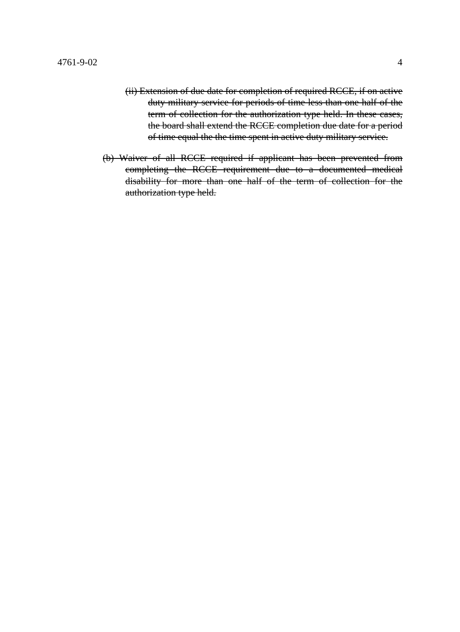- (ii) Extension of due date for completion of required RCCE, if on active duty military service for periods of time less than one half of the term of collection for the authorization type held. In these cases, the board shall extend the RCCE completion due date for a period of time equal the the time spent in active duty military service.
- (b) Waiver of all RCCE required if applicant has been prevented from completing the RCCE requirement due to a documented medical disability for more than one half of the term of collection for the authorization type held.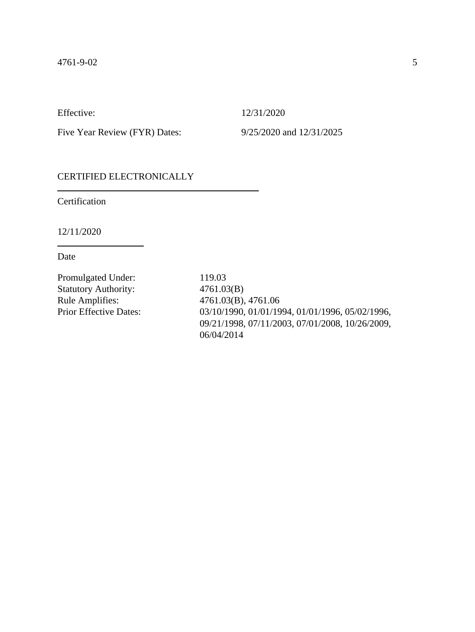Five Year Review (FYR) Dates: 9/25/2020 and 12/31/2025

## CERTIFIED ELECTRONICALLY

Certification

12/11/2020

Date

Promulgated Under: 119.03 Statutory Authority: 4761.03(B) Rule Amplifies: 4761.03(B), 4761.06

Prior Effective Dates: 03/10/1990, 01/01/1994, 01/01/1996, 05/02/1996, 09/21/1998, 07/11/2003, 07/01/2008, 10/26/2009, 06/04/2014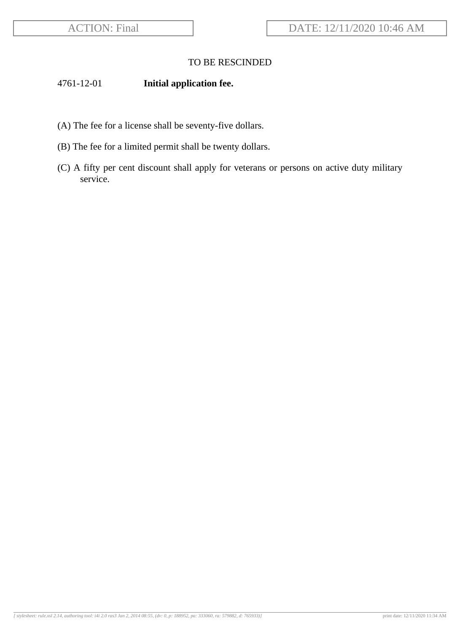## 4761-12-01 **Initial application fee.**

- (A) The fee for a license shall be seventy-five dollars.
- (B) The fee for a limited permit shall be twenty dollars.
- (C) A fifty per cent discount shall apply for veterans or persons on active duty military service.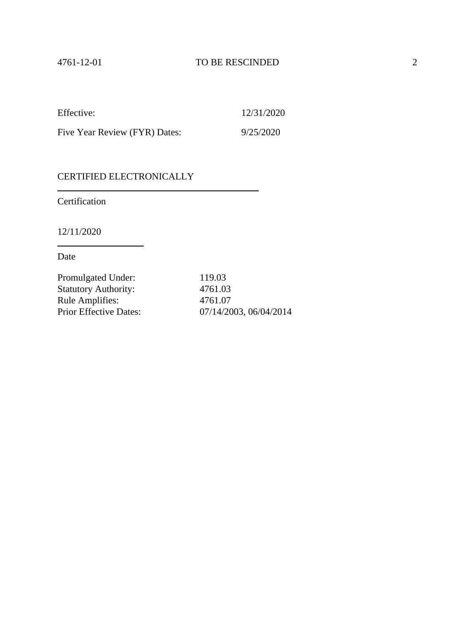| Effective:                    | 12/31/2020 |
|-------------------------------|------------|
| Five Year Review (FYR) Dates: | 9/25/2020  |

## CERTIFIED ELECTRONICALLY

Certification

12/11/2020

Date

| Promulgated Under:            | 119.03                 |
|-------------------------------|------------------------|
| <b>Statutory Authority:</b>   | 4761.03                |
| <b>Rule Amplifies:</b>        | 4761.07                |
| <b>Prior Effective Dates:</b> | 07/14/2003, 06/04/2014 |
|                               |                        |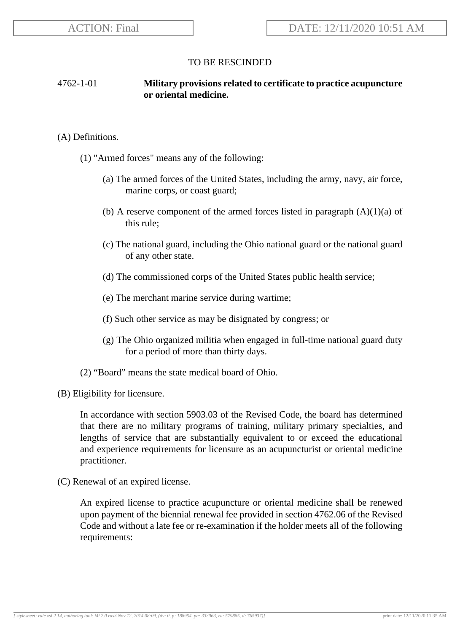## 4762-1-01 **Military provisions related to certificate to practice acupuncture or oriental medicine.**

#### (A) Definitions.

- (1) "Armed forces" means any of the following:
	- (a) The armed forces of the United States, including the army, navy, air force, marine corps, or coast guard;
	- (b) A reserve component of the armed forces listed in paragraph  $(A)(1)(a)$  of this rule;
	- (c) The national guard, including the Ohio national guard or the national guard of any other state.
	- (d) The commissioned corps of the United States public health service;
	- (e) The merchant marine service during wartime;
	- (f) Such other service as may be disignated by congress; or
	- (g) The Ohio organized militia when engaged in full-time national guard duty for a period of more than thirty days.
- (2) "Board" means the state medical board of Ohio.
- (B) Eligibility for licensure.

In accordance with section 5903.03 of the Revised Code, the board has determined that there are no military programs of training, military primary specialties, and lengths of service that are substantially equivalent to or exceed the educational and experience requirements for licensure as an acupuncturist or oriental medicine practitioner.

(C) Renewal of an expired license.

An expired license to practice acupuncture or oriental medicine shall be renewed upon payment of the biennial renewal fee provided in section 4762.06 of the Revised Code and without a late fee or re-examination if the holder meets all of the following requirements: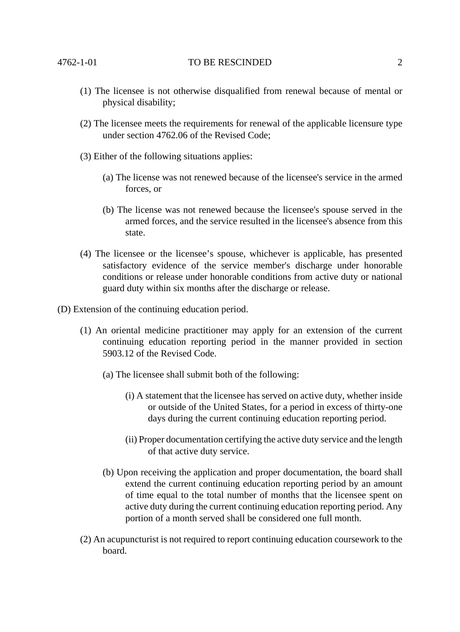- (1) The licensee is not otherwise disqualified from renewal because of mental or physical disability;
- (2) The licensee meets the requirements for renewal of the applicable licensure type under section 4762.06 of the Revised Code;
- (3) Either of the following situations applies:
	- (a) The license was not renewed because of the licensee's service in the armed forces, or
	- (b) The license was not renewed because the licensee's spouse served in the armed forces, and the service resulted in the licensee's absence from this state.
- (4) The licensee or the licensee's spouse, whichever is applicable, has presented satisfactory evidence of the service member's discharge under honorable conditions or release under honorable conditions from active duty or national guard duty within six months after the discharge or release.
- (D) Extension of the continuing education period.
	- (1) An oriental medicine practitioner may apply for an extension of the current continuing education reporting period in the manner provided in section 5903.12 of the Revised Code.
		- (a) The licensee shall submit both of the following:
			- (i) A statement that the licensee has served on active duty, whether inside or outside of the United States, for a period in excess of thirty-one days during the current continuing education reporting period.
			- (ii) Proper documentation certifying the active duty service and the length of that active duty service.
		- (b) Upon receiving the application and proper documentation, the board shall extend the current continuing education reporting period by an amount of time equal to the total number of months that the licensee spent on active duty during the current continuing education reporting period. Any portion of a month served shall be considered one full month.
	- (2) An acupuncturist is not required to report continuing education coursework to the board.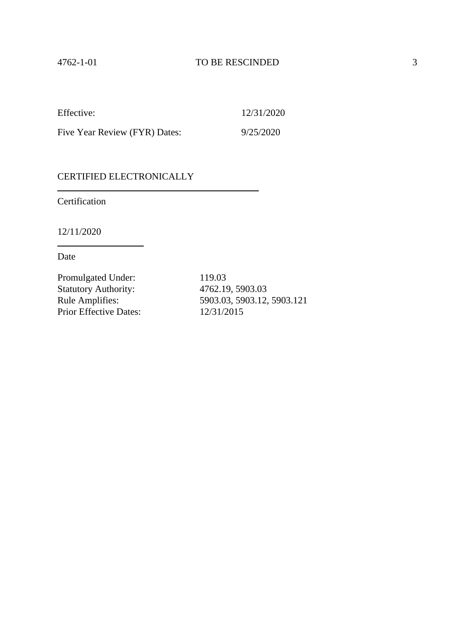Five Year Review (FYR) Dates: 9/25/2020

### CERTIFIED ELECTRONICALLY

Certification

12/11/2020

Date

Promulgated Under: 119.03 Statutory Authority: 4762.19, 5903.03<br>
Rule Amplifies: 5903.03, 5903.12, Prior Effective Dates: 12/31/2015

Rule Amplifies: 5903.03, 5903.12, 5903.121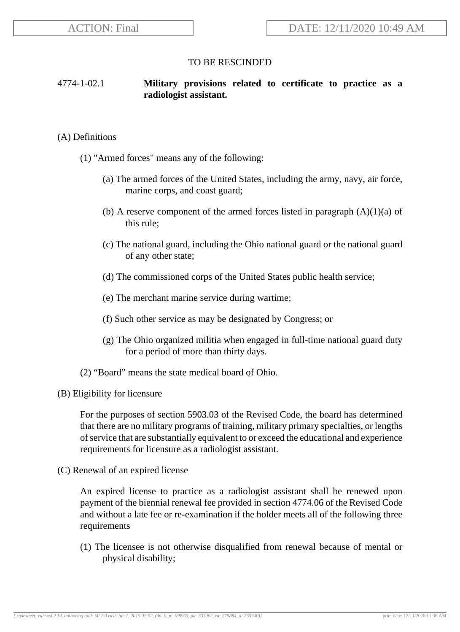## 4774-1-02.1 **Military provisions related to certificate to practice as a radiologist assistant.**

#### (A) Definitions

- (1) "Armed forces" means any of the following:
	- (a) The armed forces of the United States, including the army, navy, air force, marine corps, and coast guard;
	- (b) A reserve component of the armed forces listed in paragraph  $(A)(1)(a)$  of this rule;
	- (c) The national guard, including the Ohio national guard or the national guard of any other state;
	- (d) The commissioned corps of the United States public health service;
	- (e) The merchant marine service during wartime;
	- (f) Such other service as may be designated by Congress; or
	- (g) The Ohio organized militia when engaged in full-time national guard duty for a period of more than thirty days.
- (2) "Board" means the state medical board of Ohio.
- (B) Eligibility for licensure

For the purposes of section 5903.03 of the Revised Code, the board has determined that there are no military programs of training, military primary specialties, or lengths of service that are substantially equivalent to or exceed the educational and experience requirements for licensure as a radiologist assistant.

(C) Renewal of an expired license

An expired license to practice as a radiologist assistant shall be renewed upon payment of the biennial renewal fee provided in section 4774.06 of the Revised Code and without a late fee or re-examination if the holder meets all of the following three requirements

(1) The licensee is not otherwise disqualified from renewal because of mental or physical disability;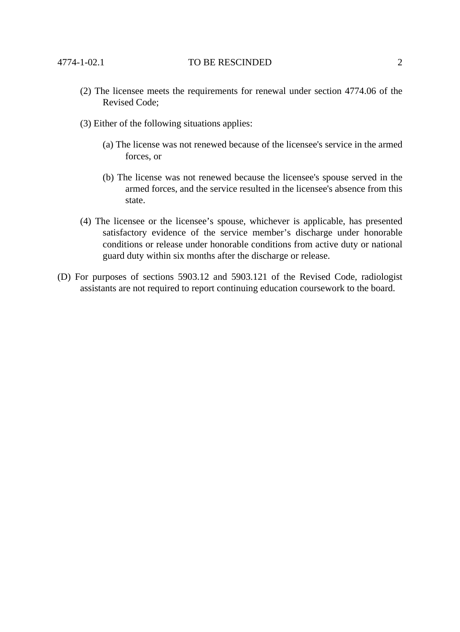- (2) The licensee meets the requirements for renewal under section 4774.06 of the Revised Code;
- (3) Either of the following situations applies:
	- (a) The license was not renewed because of the licensee's service in the armed forces, or
	- (b) The license was not renewed because the licensee's spouse served in the armed forces, and the service resulted in the licensee's absence from this state.
- (4) The licensee or the licensee's spouse, whichever is applicable, has presented satisfactory evidence of the service member's discharge under honorable conditions or release under honorable conditions from active duty or national guard duty within six months after the discharge or release.
- (D) For purposes of sections 5903.12 and 5903.121 of the Revised Code, radiologist assistants are not required to report continuing education coursework to the board.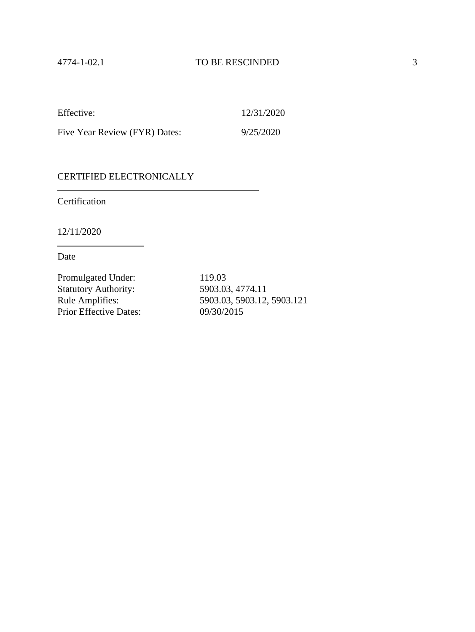Five Year Review (FYR) Dates: 9/25/2020

#### CERTIFIED ELECTRONICALLY

Certification

12/11/2020

Date

Promulgated Under: 119.03 Statutory Authority: 5903.03, 4774.11<br>Rule Amplifies: 5903.03, 5903.12, Prior Effective Dates: 09/30/2015

Rule Amplifies: 5903.03, 5903.12, 5903.121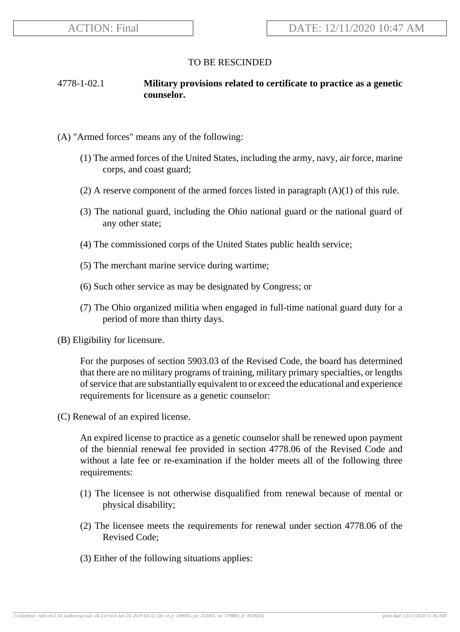## 4778-1-02.1 **Military provisions related to certificate to practice as a genetic counselor.**

- (A) "Armed forces" means any of the following:
	- (1) The armed forces of the United States, including the army, navy, air force, marine corps, and coast guard;
	- (2) A reserve component of the armed forces listed in paragraph (A)(1) of this rule.
	- (3) The national guard, including the Ohio national guard or the national guard of any other state;
	- (4) The commissioned corps of the United States public health service;
	- (5) The merchant marine service during wartime;
	- (6) Such other service as may be designated by Congress; or
	- (7) The Ohio organized militia when engaged in full-time national guard duty for a period of more than thirty days.
- (B) Eligibility for licensure.

For the purposes of section 5903.03 of the Revised Code, the board has determined that there are no military programs of training, military primary specialties, or lengths of service that are substantially equivalent to or exceed the educational and experience requirements for licensure as a genetic counselor:

(C) Renewal of an expired license.

An expired license to practice as a genetic counselor shall be renewed upon payment of the biennial renewal fee provided in section 4778.06 of the Revised Code and without a late fee or re-examination if the holder meets all of the following three requirements:

- (1) The licensee is not otherwise disqualified from renewal because of mental or physical disability;
- (2) The licensee meets the requirements for renewal under section 4778.06 of the Revised Code;
- (3) Either of the following situations applies: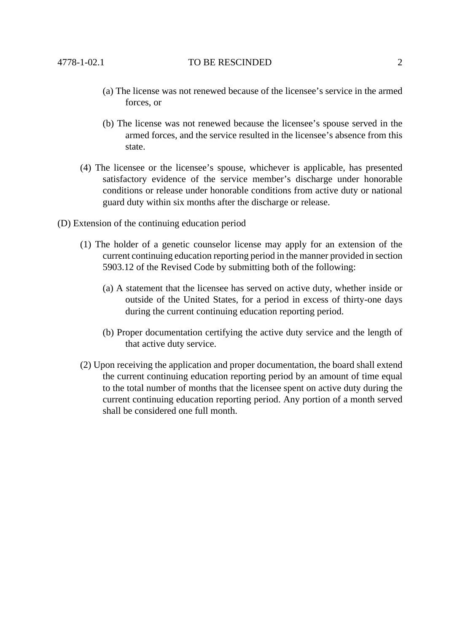- (a) The license was not renewed because of the licensee's service in the armed forces, or
- (b) The license was not renewed because the licensee's spouse served in the armed forces, and the service resulted in the licensee's absence from this state.
- (4) The licensee or the licensee's spouse, whichever is applicable, has presented satisfactory evidence of the service member's discharge under honorable conditions or release under honorable conditions from active duty or national guard duty within six months after the discharge or release.
- (D) Extension of the continuing education period
	- (1) The holder of a genetic counselor license may apply for an extension of the current continuing education reporting period in the manner provided in section 5903.12 of the Revised Code by submitting both of the following:
		- (a) A statement that the licensee has served on active duty, whether inside or outside of the United States, for a period in excess of thirty-one days during the current continuing education reporting period.
		- (b) Proper documentation certifying the active duty service and the length of that active duty service.
	- (2) Upon receiving the application and proper documentation, the board shall extend the current continuing education reporting period by an amount of time equal to the total number of months that the licensee spent on active duty during the current continuing education reporting period. Any portion of a month served shall be considered one full month.